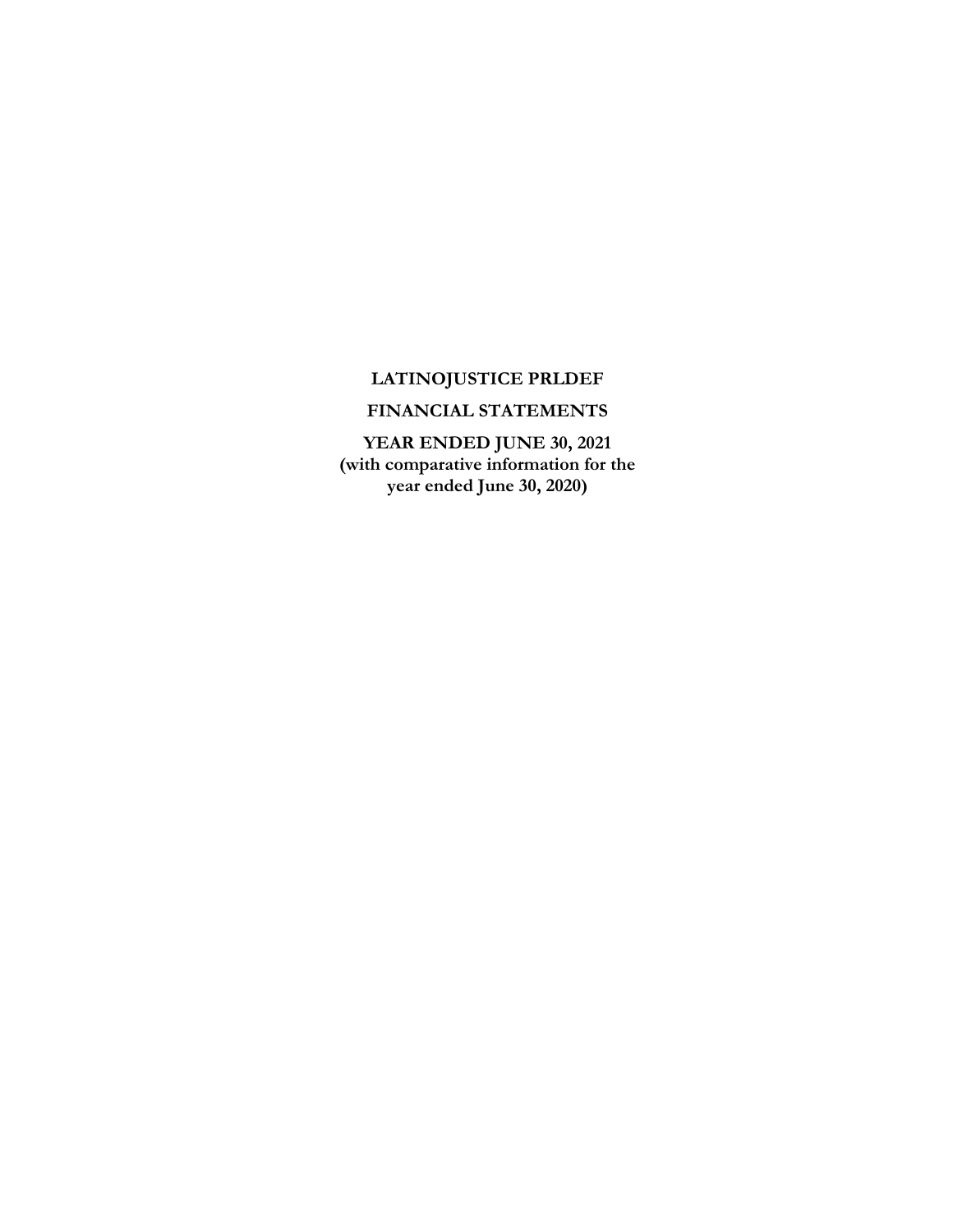# **LATINOJUSTICE PRLDEF**

# **FINANCIAL STATEMENTS**

**YEAR ENDED JUNE 30, 2021 (with comparative information for the year ended June 30, 2020)**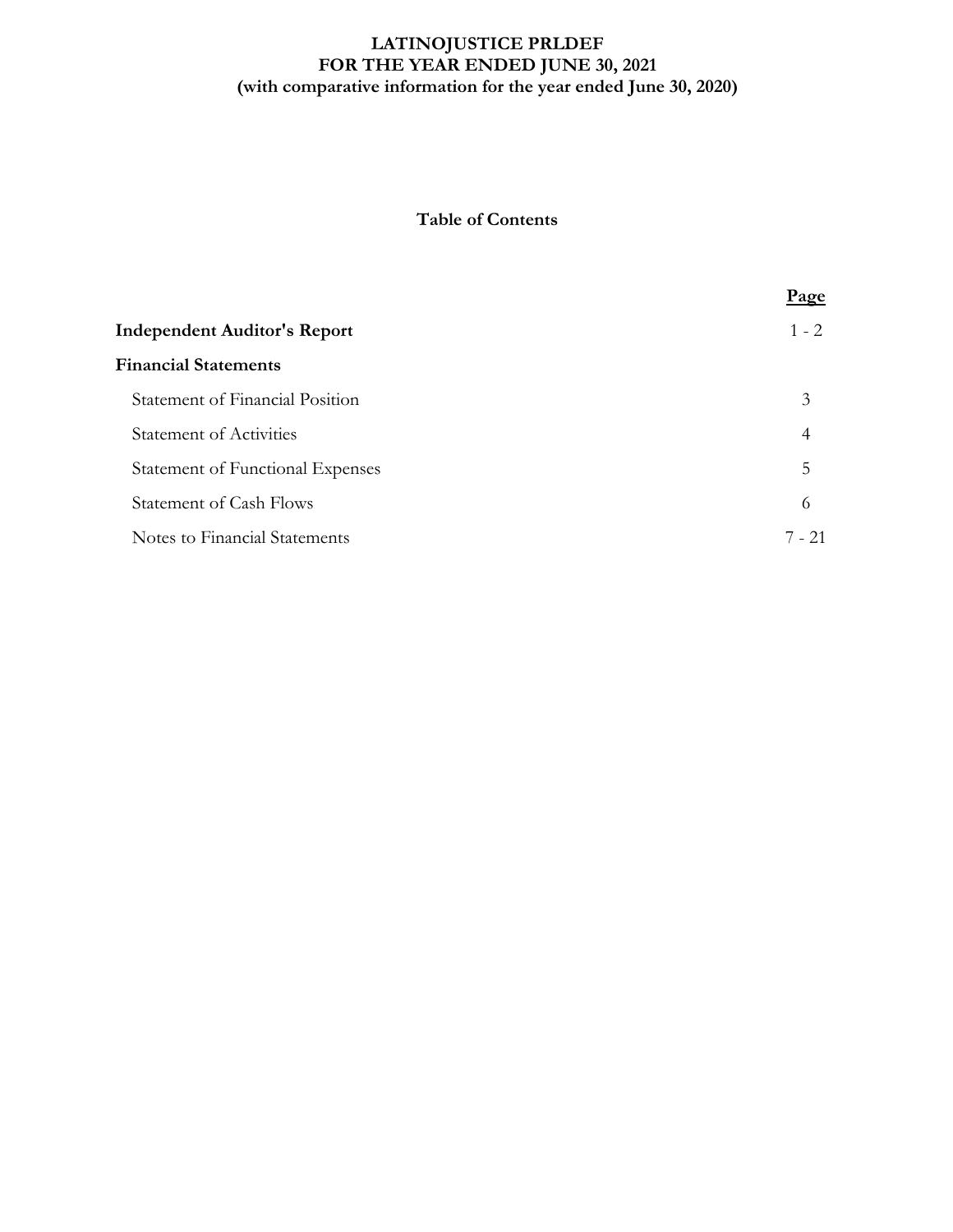# **LATINOJUSTICE PRLDEF FOR THE YEAR ENDED JUNE 30, 2021 (with comparative information for the year ended June 30, 2020)**

# **Table of Contents**

|                                         | <u>Page</u> |
|-----------------------------------------|-------------|
| <b>Independent Auditor's Report</b>     | $1 - 2$     |
| <b>Financial Statements</b>             |             |
| Statement of Financial Position         | 3           |
| <b>Statement of Activities</b>          | 4           |
| <b>Statement of Functional Expenses</b> | 5           |
| <b>Statement of Cash Flows</b>          | 6           |
| Notes to Financial Statements           | $7 - 21$    |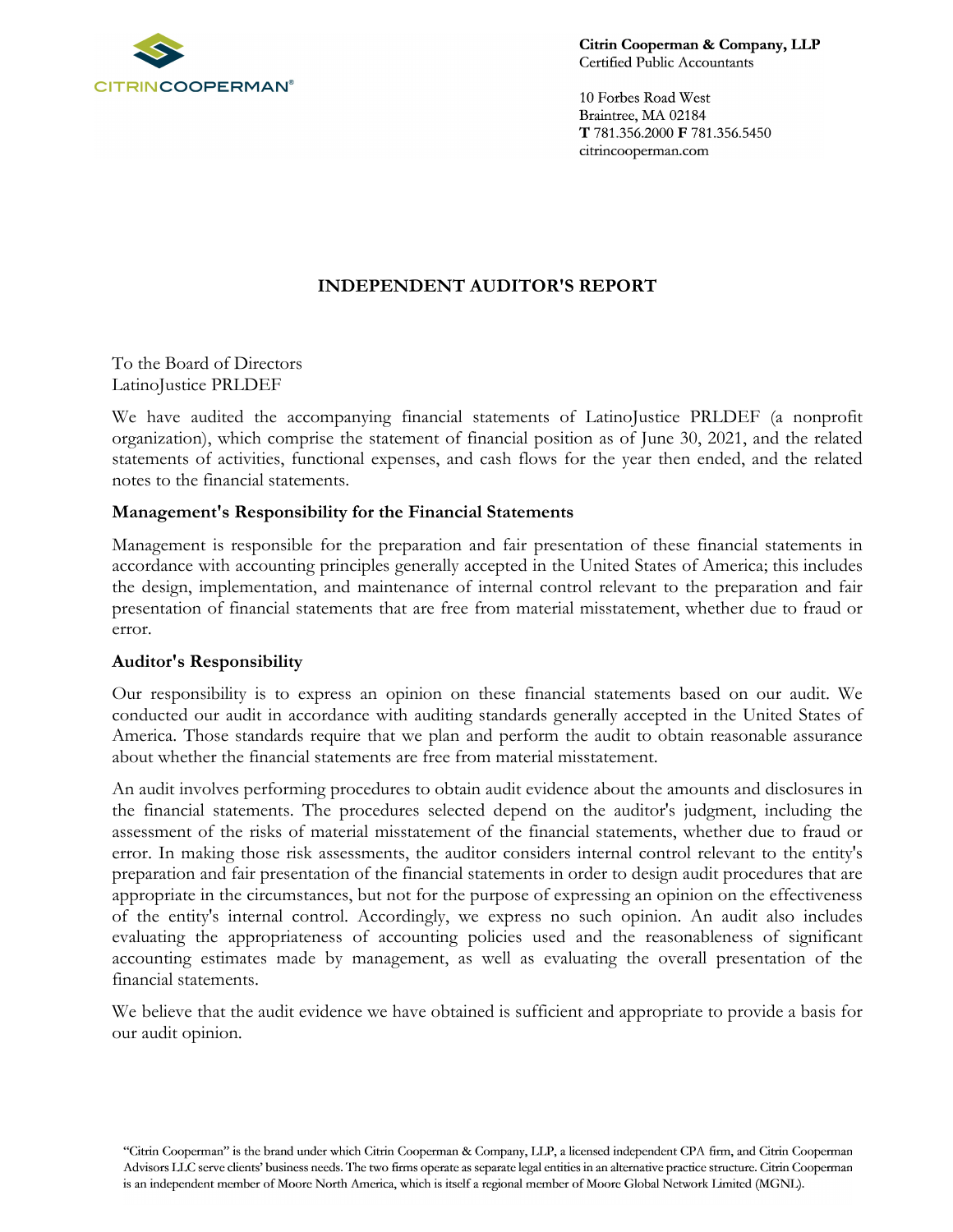

Citrin Cooperman & Company, LLP Certified Public Accountants

10 Forbes Road West Braintree, MA 02184 T 781.356.2000 F 781.356.5450 citrincooperman.com

# **INDEPENDENT AUDITOR'S REPORT**

To the Board of Directors LatinoJustice PRLDEF

We have audited the accompanying financial statements of LatinoJustice PRLDEF (a nonprofit organization), which comprise the statement of financial position as of June 30, 2021, and the related statements of activities, functional expenses, and cash flows for the year then ended, and the related notes to the financial statements.

### **Management's Responsibility for the Financial Statements**

Management is responsible for the preparation and fair presentation of these financial statements in accordance with accounting principles generally accepted in the United States of America; this includes the design, implementation, and maintenance of internal control relevant to the preparation and fair presentation of financial statements that are free from material misstatement, whether due to fraud or error.

### **Auditor's Responsibility**

Our responsibility is to express an opinion on these financial statements based on our audit. We conducted our audit in accordance with auditing standards generally accepted in the United States of America. Those standards require that we plan and perform the audit to obtain reasonable assurance about whether the financial statements are free from material misstatement.

An audit involves performing procedures to obtain audit evidence about the amounts and disclosures in the financial statements. The procedures selected depend on the auditor's judgment, including the assessment of the risks of material misstatement of the financial statements, whether due to fraud or error. In making those risk assessments, the auditor considers internal control relevant to the entity's preparation and fair presentation of the financial statements in order to design audit procedures that are appropriate in the circumstances, but not for the purpose of expressing an opinion on the effectiveness of the entity's internal control. Accordingly, we express no such opinion. An audit also includes evaluating the appropriateness of accounting policies used and the reasonableness of significant accounting estimates made by management, as well as evaluating the overall presentation of the financial statements.

We believe that the audit evidence we have obtained is sufficient and appropriate to provide a basis for our audit opinion.

<sup>&</sup>quot;Citrin Cooperman" is the brand under which Citrin Cooperman & Company, LLP, a licensed independent CPA firm, and Citrin Cooperman Advisors LLC serve clients' business needs. The two firms operate as separate legal entities in an alternative practice structure. Citrin Cooperman is an independent member of Moore North America, which is itself a regional member of Moore Global Network Limited (MGNL).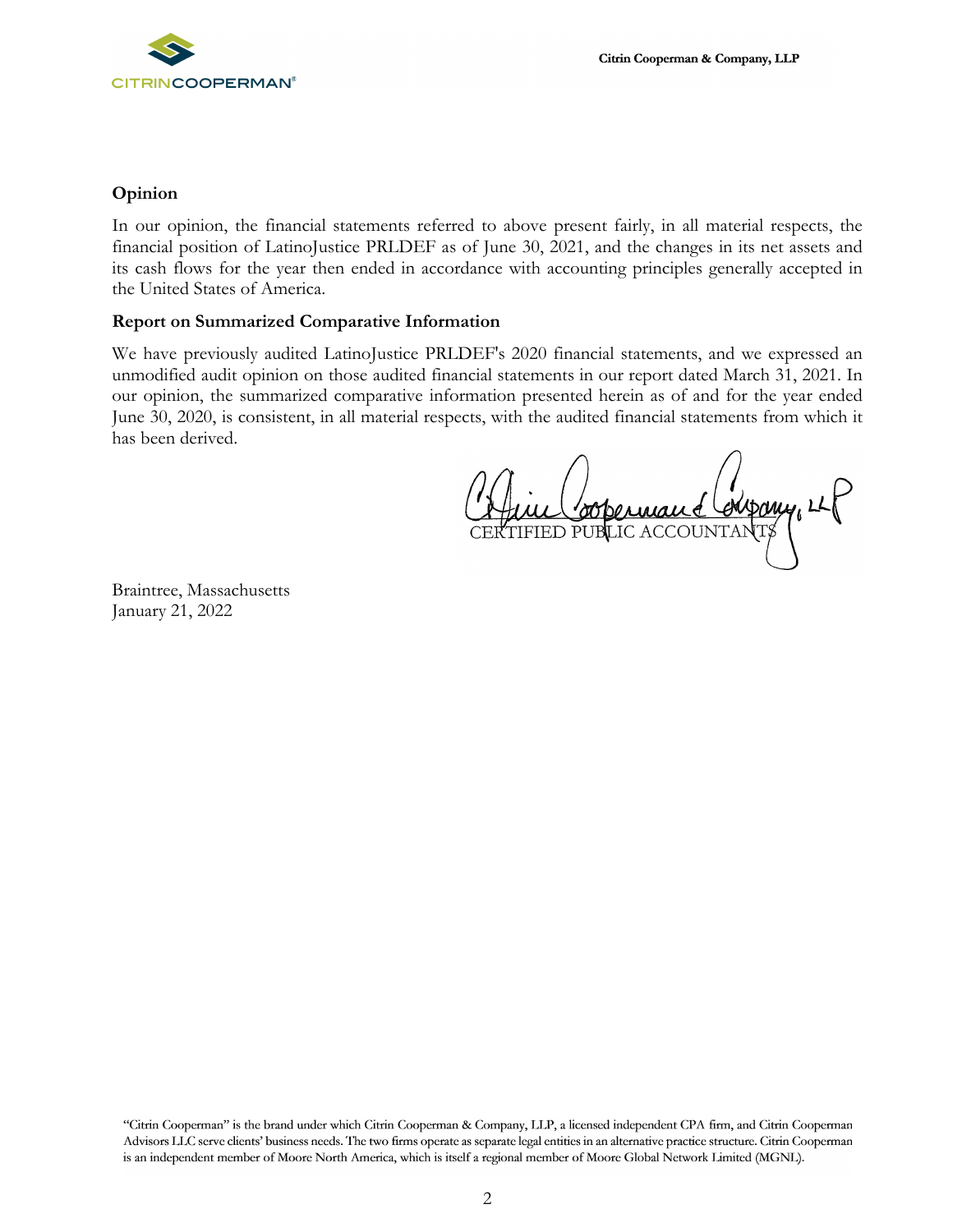

#### **Opinion**

In our opinion, the financial statements referred to above present fairly, in all material respects, the financial position of LatinoJustice PRLDEF as of June 30, 2021, and the changes in its net assets and its cash flows for the year then ended in accordance with accounting principles generally accepted in the United States of America.

#### **Report on Summarized Comparative Information**

We have previously audited LatinoJustice PRLDEF's 2020 financial statements, and we expressed an unmodified audit opinion on those audited financial statements in our report dated March 31, 2021. In our opinion, the summarized comparative information presented herein as of and for the year ended June 30, 2020, is consistent, in all material respects, with the audited financial statements from which it has been derived.

OOPermand Compony, LEF

Braintree, Massachusetts January 21, 2022

"Citrin Cooperman" is the brand under which Citrin Cooperman & Company, LLP, a licensed independent CPA firm, and Citrin Cooperman Advisors LLC serve clients' business needs. The two firms operate as separate legal entities in an alternative practice structure. Citrin Cooperman is an independent member of Moore North America, which is itself a regional member of Moore Global Network Limited (MGNL).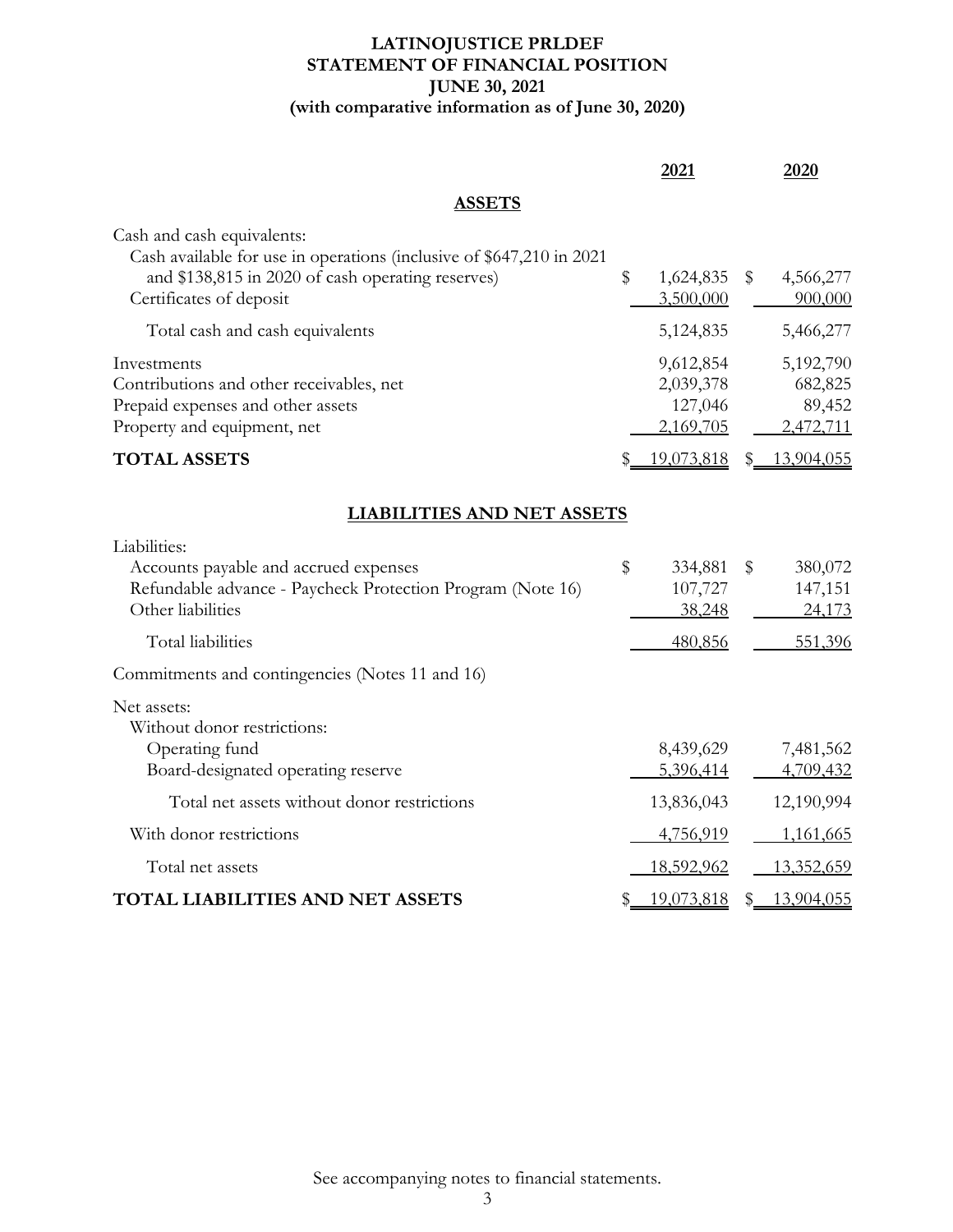# **LATINOJUSTICE PRLDEF STATEMENT OF FINANCIAL POSITION JUNE 30, 2021 (with comparative information as of June 30, 2020)**

|                                                                                                                                                                                    | 2021                                           |              | 2020                                        |
|------------------------------------------------------------------------------------------------------------------------------------------------------------------------------------|------------------------------------------------|--------------|---------------------------------------------|
| <b>ASSETS</b>                                                                                                                                                                      |                                                |              |                                             |
| Cash and cash equivalents:<br>Cash available for use in operations (inclusive of \$647,210 in 2021<br>and \$138,815 in 2020 of cash operating reserves)<br>Certificates of deposit | \$<br>1,624,835<br>3,500,000                   | $\mathbb{S}$ | 4,566,277<br>900,000                        |
| Total cash and cash equivalents                                                                                                                                                    | 5,124,835                                      |              | 5,466,277                                   |
| Investments<br>Contributions and other receivables, net<br>Prepaid expenses and other assets<br>Property and equipment, net                                                        | 9,612,854<br>2,039,378<br>127,046<br>2,169,705 |              | 5,192,790<br>682,825<br>89,452<br>2,472,711 |
| <b>TOTAL ASSETS</b>                                                                                                                                                                | 19,073,818                                     | S.           | 13,904,055                                  |
| <b>LIABILITIES AND NET ASSETS</b>                                                                                                                                                  |                                                |              |                                             |
| Liabilities:<br>Accounts payable and accrued expenses<br>Refundable advance - Paycheck Protection Program (Note 16)<br>Other liabilities                                           | \$<br>334,881<br>107,727<br>38,248             | $\$\$        | 380,072<br>147,151<br>24,173                |
| Total liabilities                                                                                                                                                                  | 480,856                                        |              | 551,396                                     |
| Commitments and contingencies (Notes 11 and 16)                                                                                                                                    |                                                |              |                                             |
| Net assets:<br>Without donor restrictions:<br>Operating fund<br>Board-designated operating reserve                                                                                 | 8,439,629<br>5,396,414                         |              | 7,481,562<br>4,709,432                      |
| Total net assets without donor restrictions                                                                                                                                        | 13,836,043                                     |              | 12,190,994                                  |
| With donor restrictions                                                                                                                                                            | 4,756,919                                      |              | <u>1,161,665</u>                            |
| Total net assets                                                                                                                                                                   | 18,592,962                                     |              | 13,352,659                                  |
| <b>TOTAL LIABILITIES AND NET ASSETS</b>                                                                                                                                            | 19,073,818                                     |              | 13,904,055                                  |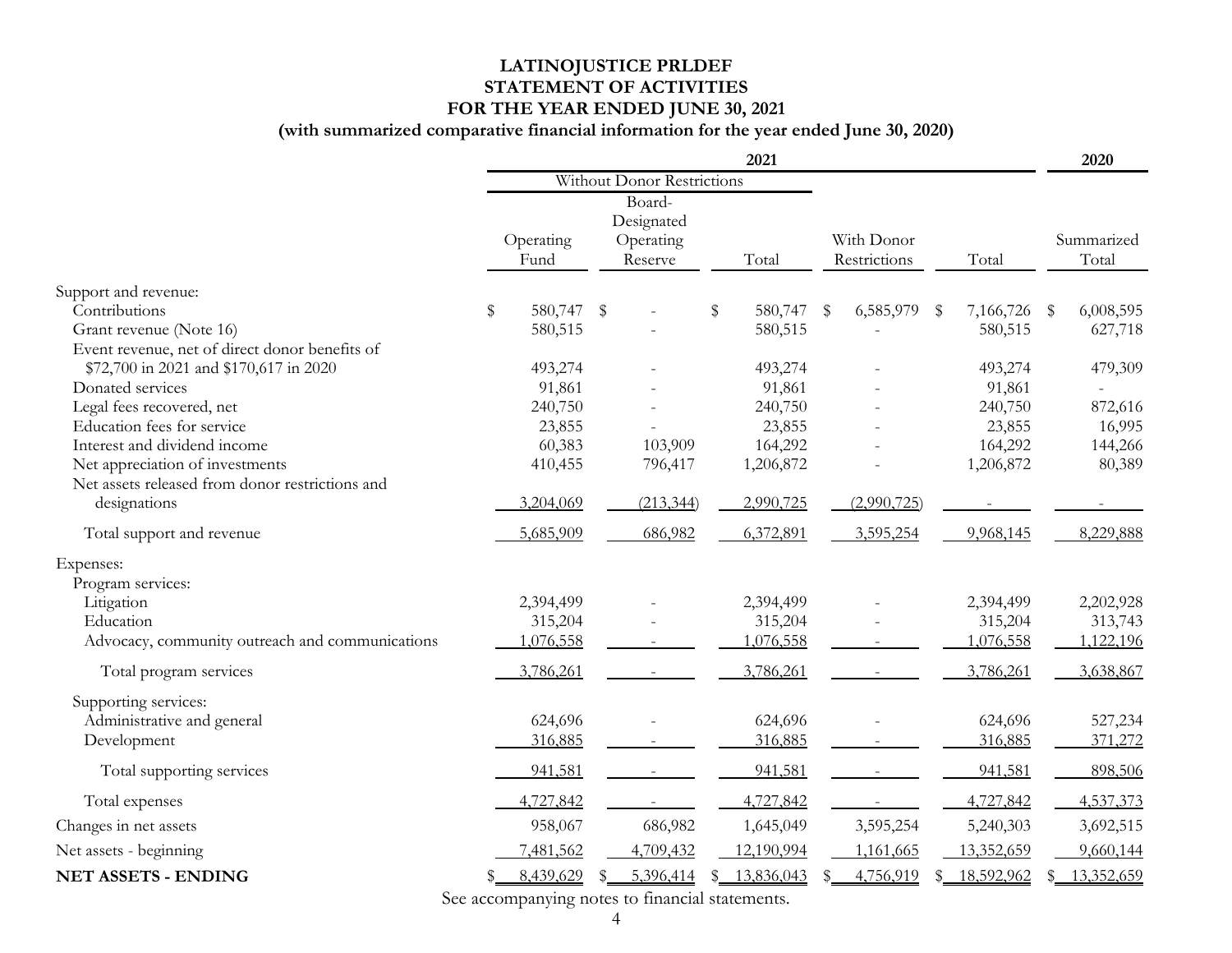# **LATINOJUSTICE PRLDEF STATEMENT OF ACTIVITIES FOR THE YEAR ENDED JUNE 30, 2021**

# **(with summarized comparative financial information for the year ended June 30, 2020)**

|                                                 | 2021                              |           |              |            |    | 2020       |                 |      |              |  |            |
|-------------------------------------------------|-----------------------------------|-----------|--------------|------------|----|------------|-----------------|------|--------------|--|------------|
|                                                 | <b>Without Donor Restrictions</b> |           |              |            |    |            |                 |      |              |  |            |
|                                                 |                                   |           |              | Board-     |    |            |                 |      |              |  |            |
|                                                 |                                   |           |              | Designated |    |            |                 |      |              |  |            |
|                                                 |                                   | Operating |              | Operating  |    |            | With Donor      |      |              |  | Summarized |
|                                                 |                                   | Fund      |              | Reserve    |    | Total      | Restrictions    |      | Total        |  | Total      |
| Support and revenue:                            |                                   |           |              |            |    |            |                 |      |              |  |            |
| Contributions                                   | $\$\,$                            | 580,747   | $\mathbb{S}$ |            | \$ | 580,747    | \$<br>6,585,979 | - \$ | 7,166,726 \$ |  | 6,008,595  |
| Grant revenue (Note 16)                         |                                   | 580,515   |              |            |    | 580,515    |                 |      | 580,515      |  | 627,718    |
| Event revenue, net of direct donor benefits of  |                                   |           |              |            |    |            |                 |      |              |  |            |
| \$72,700 in 2021 and \$170,617 in 2020          |                                   | 493,274   |              |            |    | 493,274    |                 |      | 493,274      |  | 479,309    |
| Donated services                                |                                   | 91,861    |              |            |    | 91,861     |                 |      | 91,861       |  |            |
| Legal fees recovered, net                       |                                   | 240,750   |              |            |    | 240,750    |                 |      | 240,750      |  | 872,616    |
| Education fees for service                      |                                   | 23,855    |              |            |    | 23,855     |                 |      | 23,855       |  | 16,995     |
| Interest and dividend income                    |                                   | 60,383    |              | 103,909    |    | 164,292    |                 |      | 164,292      |  | 144,266    |
| Net appreciation of investments                 |                                   | 410,455   |              | 796,417    |    | 1,206,872  |                 |      | 1,206,872    |  | 80,389     |
| Net assets released from donor restrictions and |                                   |           |              |            |    |            |                 |      |              |  |            |
| designations                                    |                                   | 3,204,069 |              | (213, 344) |    | 2,990,725  | (2,990,725)     |      |              |  |            |
| Total support and revenue                       |                                   | 5,685,909 |              | 686,982    |    | 6,372,891  | 3,595,254       |      | 9,968,145    |  | 8,229,888  |
| Expenses:                                       |                                   |           |              |            |    |            |                 |      |              |  |            |
| Program services:                               |                                   |           |              |            |    |            |                 |      |              |  |            |
| Litigation                                      |                                   | 2,394,499 |              |            |    | 2,394,499  |                 |      | 2,394,499    |  | 2,202,928  |
| Education                                       |                                   | 315,204   |              |            |    | 315,204    |                 |      | 315,204      |  | 313,743    |
| Advocacy, community outreach and communications |                                   | 1,076,558 |              |            |    | 1,076,558  |                 |      | 1,076,558    |  | 1,122,196  |
| Total program services                          |                                   | 3,786,261 |              |            |    | 3,786,261  |                 |      | 3,786,261    |  | 3,638,867  |
| Supporting services:                            |                                   |           |              |            |    |            |                 |      |              |  |            |
| Administrative and general                      |                                   | 624,696   |              |            |    | 624,696    |                 |      | 624,696      |  | 527,234    |
| Development                                     |                                   | 316,885   |              |            |    | 316,885    |                 |      | 316,885      |  | 371,272    |
| Total supporting services                       |                                   | 941,581   |              |            |    | 941,581    |                 |      | 941,581      |  | 898,506    |
| Total expenses                                  |                                   | 4,727,842 |              |            |    | 4,727,842  |                 |      | 4,727,842    |  | 4,537,373  |
| Changes in net assets                           |                                   | 958,067   |              | 686,982    |    | 1,645,049  | 3,595,254       |      | 5,240,303    |  | 3,692,515  |
| Net assets - beginning                          |                                   | 7,481,562 |              | 4,709,432  |    | 12,190,994 | 1,161,665       |      | 13,352,659   |  | 9,660,144  |
| <b>NET ASSETS - ENDING</b>                      |                                   | 8,439,629 |              | 5,396,414  |    | 13,836,043 | 4,756,919       |      | 18,592,962   |  | 13,352,659 |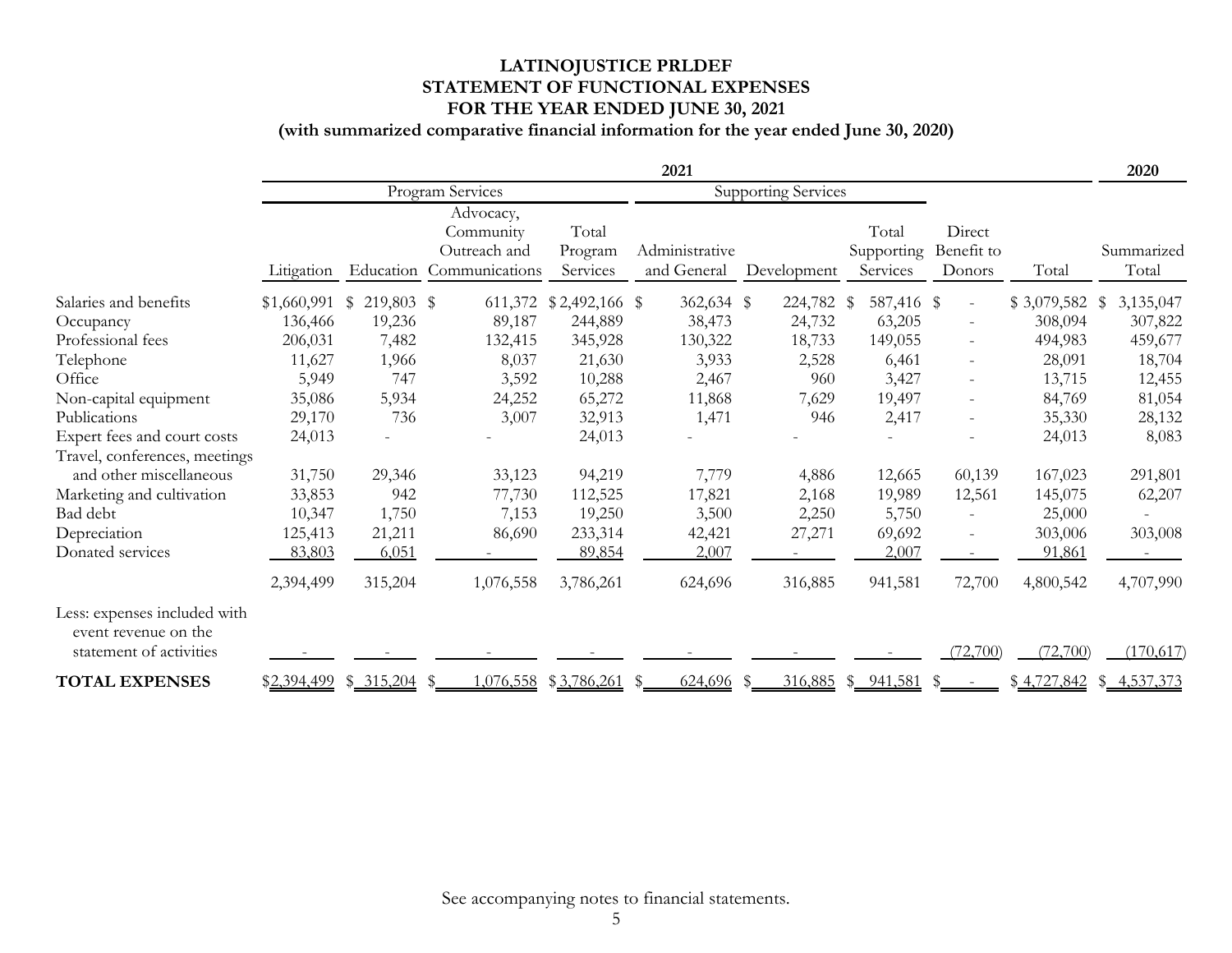# **LATINOJUSTICE PRLDEF STATEMENT OF FUNCTIONAL EXPENSES FOR THE YEAR ENDED JUNE 30, 2021**

# **(with summarized comparative financial information for the year ended June 30, 2020)**

|                                                                                 | 2021             |                                                |                                                                    |                              |                               |             |                                 | 2020                           |                 |                           |
|---------------------------------------------------------------------------------|------------------|------------------------------------------------|--------------------------------------------------------------------|------------------------------|-------------------------------|-------------|---------------------------------|--------------------------------|-----------------|---------------------------|
|                                                                                 |                  | Program Services<br><b>Supporting Services</b> |                                                                    |                              |                               |             |                                 |                                |                 |                           |
|                                                                                 | Litigation       |                                                | Advocacy,<br>Community<br>Outreach and<br>Education Communications | Total<br>Program<br>Services | Administrative<br>and General | Development | Total<br>Supporting<br>Services | Direct<br>Benefit to<br>Donors | Total           | Summarized<br>Total       |
| Salaries and benefits                                                           | $$1,660,991$ \\$ | 219,803 \$                                     | 611,372                                                            | $$2,492,166$ \\$             | 362,634 \$                    | 224,782 \$  | 587,416 \$                      | $\overline{\phantom{a}}$       | $$3,079,582$ \$ | 3,135,047                 |
| Occupancy                                                                       | 136,466          | 19,236                                         | 89,187                                                             | 244,889                      | 38,473                        | 24,732      | 63,205                          | $\overline{\phantom{a}}$       | 308,094         | 307,822                   |
| Professional fees                                                               | 206,031          | 7,482                                          | 132,415                                                            | 345,928                      | 130,322                       | 18,733      | 149,055                         | $\overline{\phantom{a}}$       | 494,983         | 459,677                   |
| Telephone                                                                       | 11,627           | 1,966                                          | 8,037                                                              | 21,630                       | 3,933                         | 2,528       | 6,461                           | $\overline{\phantom{a}}$       | 28,091          | 18,704                    |
| Office                                                                          | 5,949            | 747                                            | 3,592                                                              | 10,288                       | 2,467                         | 960         | 3,427                           | $\overline{\phantom{a}}$       | 13,715          | 12,455                    |
| Non-capital equipment                                                           | 35,086           | 5,934                                          | 24,252                                                             | 65,272                       | 11,868                        | 7,629       | 19,497                          | $\overline{\phantom{a}}$       | 84,769          | 81,054                    |
| Publications                                                                    | 29,170           | 736                                            | 3,007                                                              | 32,913                       | 1,471                         | 946         | 2,417                           | $\overline{\phantom{a}}$       | 35,330          | 28,132                    |
| Expert fees and court costs                                                     | 24,013           |                                                |                                                                    | 24,013                       |                               |             | $\overline{a}$                  | $\overline{\phantom{a}}$       | 24,013          | 8,083                     |
| Travel, conferences, meetings                                                   |                  |                                                |                                                                    |                              |                               |             |                                 |                                |                 |                           |
| and other miscellaneous                                                         | 31,750           | 29,346                                         | 33,123                                                             | 94,219                       | 7,779                         | 4,886       | 12,665                          | 60,139                         | 167,023         | 291,801                   |
| Marketing and cultivation                                                       | 33,853           | 942                                            | 77,730                                                             | 112,525                      | 17,821                        | 2,168       | 19,989                          | 12,561                         | 145,075         | 62,207                    |
| Bad debt                                                                        | 10,347           | 1,750                                          | 7,153                                                              | 19,250                       | 3,500                         | 2,250       | 5,750                           | $\overline{\phantom{a}}$       | 25,000          |                           |
| Depreciation                                                                    | 125,413          | 21,211                                         | 86,690                                                             | 233,314                      | 42,421                        | 27,271      | 69,692                          | $\overline{\phantom{a}}$       | 303,006         | 303,008                   |
| Donated services                                                                | 83,803           | 6,051                                          |                                                                    | 89,854                       | 2,007                         |             | 2,007                           |                                | 91,861          |                           |
|                                                                                 | 2,394,499        | 315,204                                        | 1,076,558                                                          | 3,786,261                    | 624,696                       | 316,885     | 941,581                         | 72,700                         | 4,800,542       | 4,707,990                 |
| Less: expenses included with<br>event revenue on the<br>statement of activities |                  |                                                |                                                                    |                              |                               |             |                                 | (72,700)                       | (72,700)        | (170, 617)                |
| <b>TOTAL EXPENSES</b>                                                           | \$2,394,499      | \$315,204                                      | 1,076,558<br>-S                                                    | \$3,786,261                  | 624,696<br>$\frac{1}{2}$      | 316,885     | \$ 941,581                      |                                |                 | $$4,727,842$ $$4,537,373$ |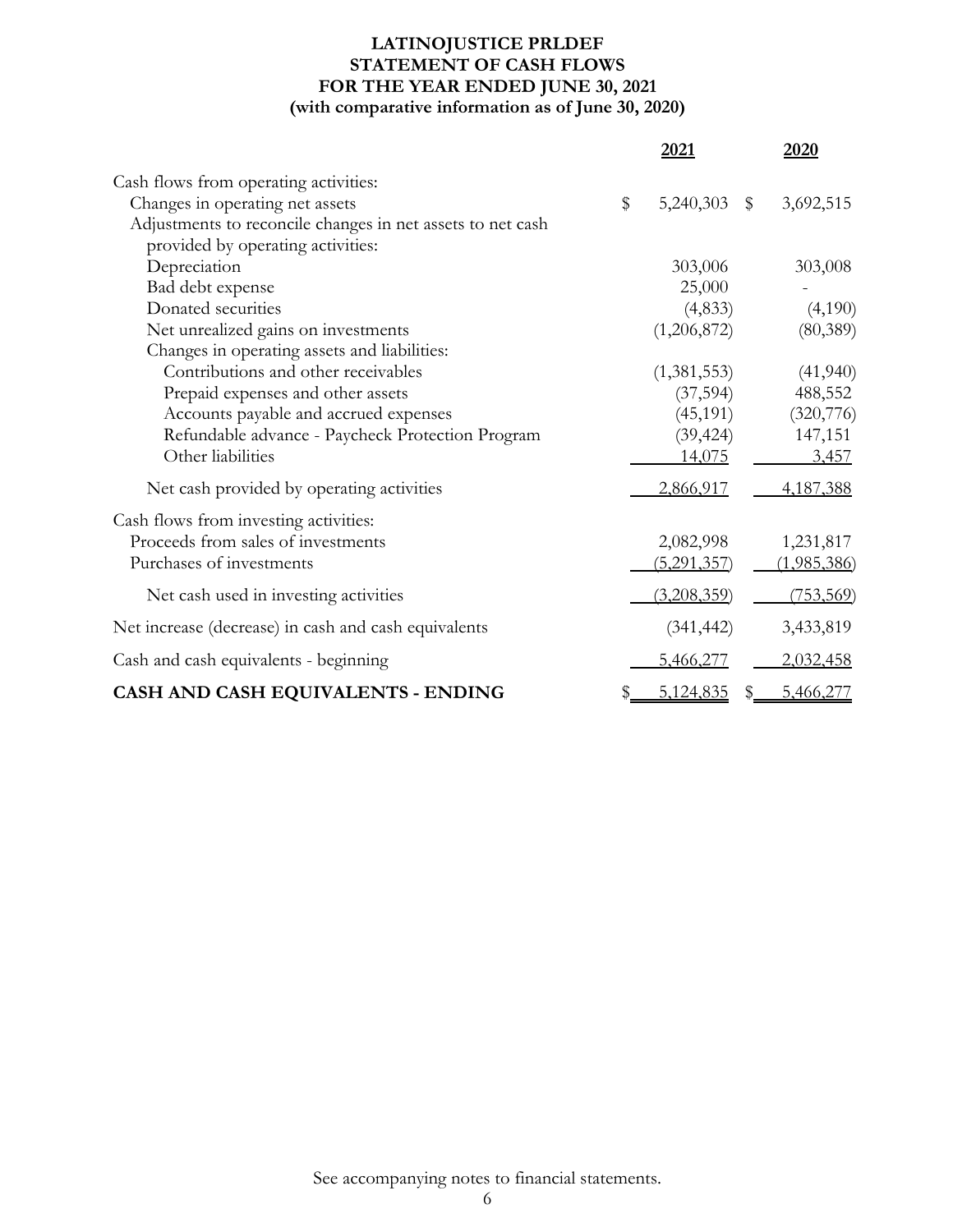# **LATINOJUSTICE PRLDEF STATEMENT OF CASH FLOWS FOR THE YEAR ENDED JUNE 30, 2021 (with comparative information as of June 30, 2020)**

|                                                            | 2021            | 2020                     |
|------------------------------------------------------------|-----------------|--------------------------|
| Cash flows from operating activities:                      |                 |                          |
| Changes in operating net assets                            | \$<br>5,240,303 | 3,692,515<br>$\mathbb S$ |
| Adjustments to reconcile changes in net assets to net cash |                 |                          |
| provided by operating activities:                          |                 |                          |
| Depreciation                                               | 303,006         | 303,008                  |
| Bad debt expense                                           | 25,000          |                          |
| Donated securities                                         | (4, 833)        | (4,190)                  |
| Net unrealized gains on investments                        | (1,206,872)     | (80, 389)                |
| Changes in operating assets and liabilities:               |                 |                          |
| Contributions and other receivables                        | (1,381,553)     | (41,940)                 |
| Prepaid expenses and other assets                          | (37, 594)       | 488,552                  |
| Accounts payable and accrued expenses                      | (45, 191)       | (320,776)                |
| Refundable advance - Paycheck Protection Program           | (39, 424)       | 147,151                  |
| Other liabilities                                          | 14,075          | 3,457                    |
| Net cash provided by operating activities                  | 2,866,917       | 4,187,388                |
| Cash flows from investing activities:                      |                 |                          |
| Proceeds from sales of investments                         | 2,082,998       | 1,231,817                |
| Purchases of investments                                   | (5,291,357)     | (1,985,386)              |
| Net cash used in investing activities                      | (3,208,359)     | <u>(753,569)</u>         |
| Net increase (decrease) in cash and cash equivalents       | (341, 442)      | 3,433,819                |
| Cash and cash equivalents - beginning                      | 5,466,277       | 2,032,458                |
| CASH AND CASH EQUIVALENTS - ENDING                         | 5,124,835       | 5,466,277<br>SS.         |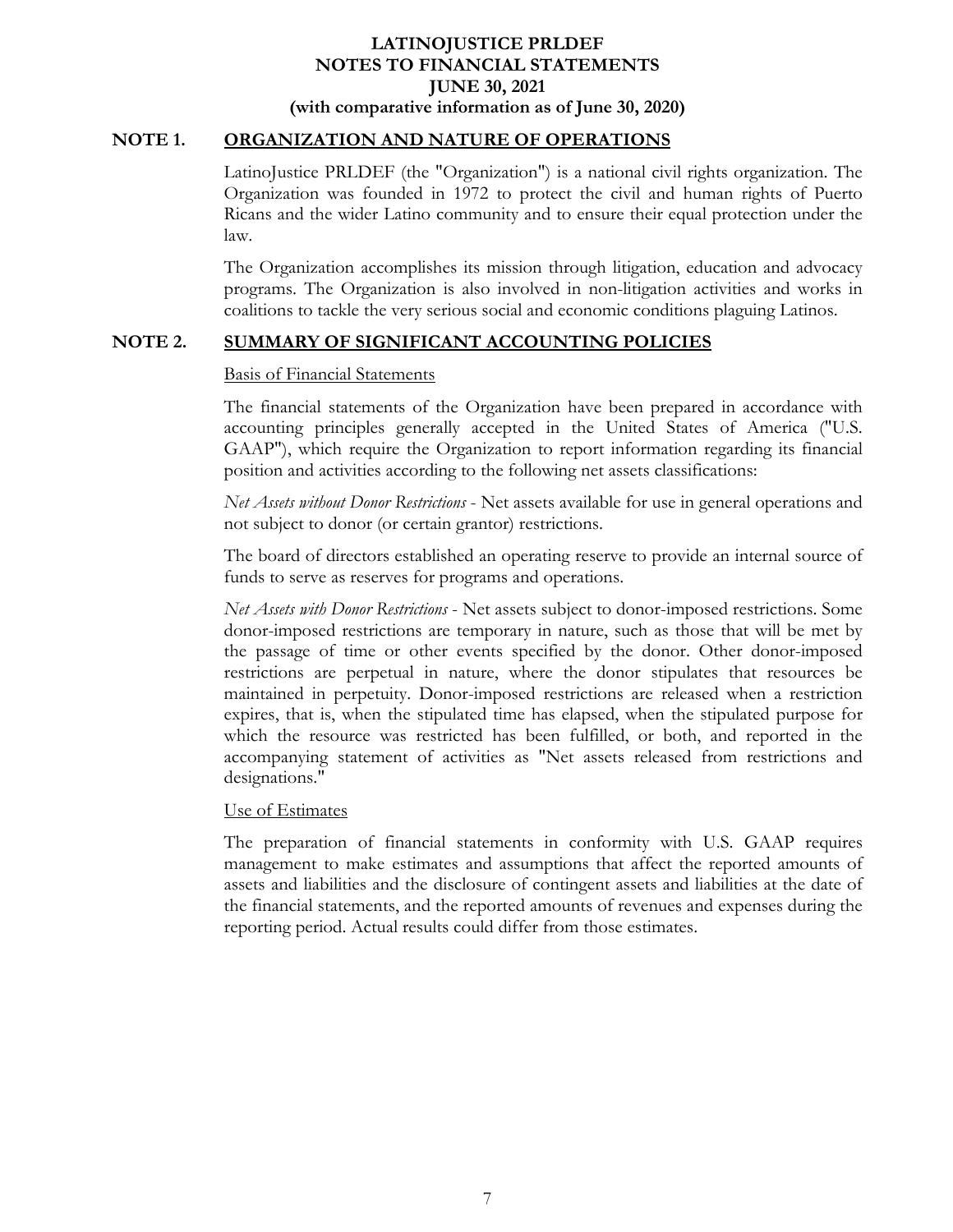### **NOTE 1. ORGANIZATION AND NATURE OF OPERATIONS**

LatinoJustice PRLDEF (the "Organization") is a national civil rights organization. The Organization was founded in 1972 to protect the civil and human rights of Puerto Ricans and the wider Latino community and to ensure their equal protection under the law.

The Organization accomplishes its mission through litigation, education and advocacy programs. The Organization is also involved in non-litigation activities and works in coalitions to tackle the very serious social and economic conditions plaguing Latinos.

### **NOTE 2. SUMMARY OF SIGNIFICANT ACCOUNTING POLICIES**

### Basis of Financial Statements

The financial statements of the Organization have been prepared in accordance with accounting principles generally accepted in the United States of America ("U.S. GAAP"), which require the Organization to report information regarding its financial position and activities according to the following net assets classifications:

*Net Assets without Donor Restrictions* - Net assets available for use in general operations and not subject to donor (or certain grantor) restrictions.

The board of directors established an operating reserve to provide an internal source of funds to serve as reserves for programs and operations.

*Net Assets with Donor Restrictions* - Net assets subject to donor-imposed restrictions. Some donor-imposed restrictions are temporary in nature, such as those that will be met by the passage of time or other events specified by the donor. Other donor-imposed restrictions are perpetual in nature, where the donor stipulates that resources be maintained in perpetuity. Donor-imposed restrictions are released when a restriction expires, that is, when the stipulated time has elapsed, when the stipulated purpose for which the resource was restricted has been fulfilled, or both, and reported in the accompanying statement of activities as "Net assets released from restrictions and designations."

### Use of Estimates

The preparation of financial statements in conformity with U.S. GAAP requires management to make estimates and assumptions that affect the reported amounts of assets and liabilities and the disclosure of contingent assets and liabilities at the date of the financial statements, and the reported amounts of revenues and expenses during the reporting period. Actual results could differ from those estimates.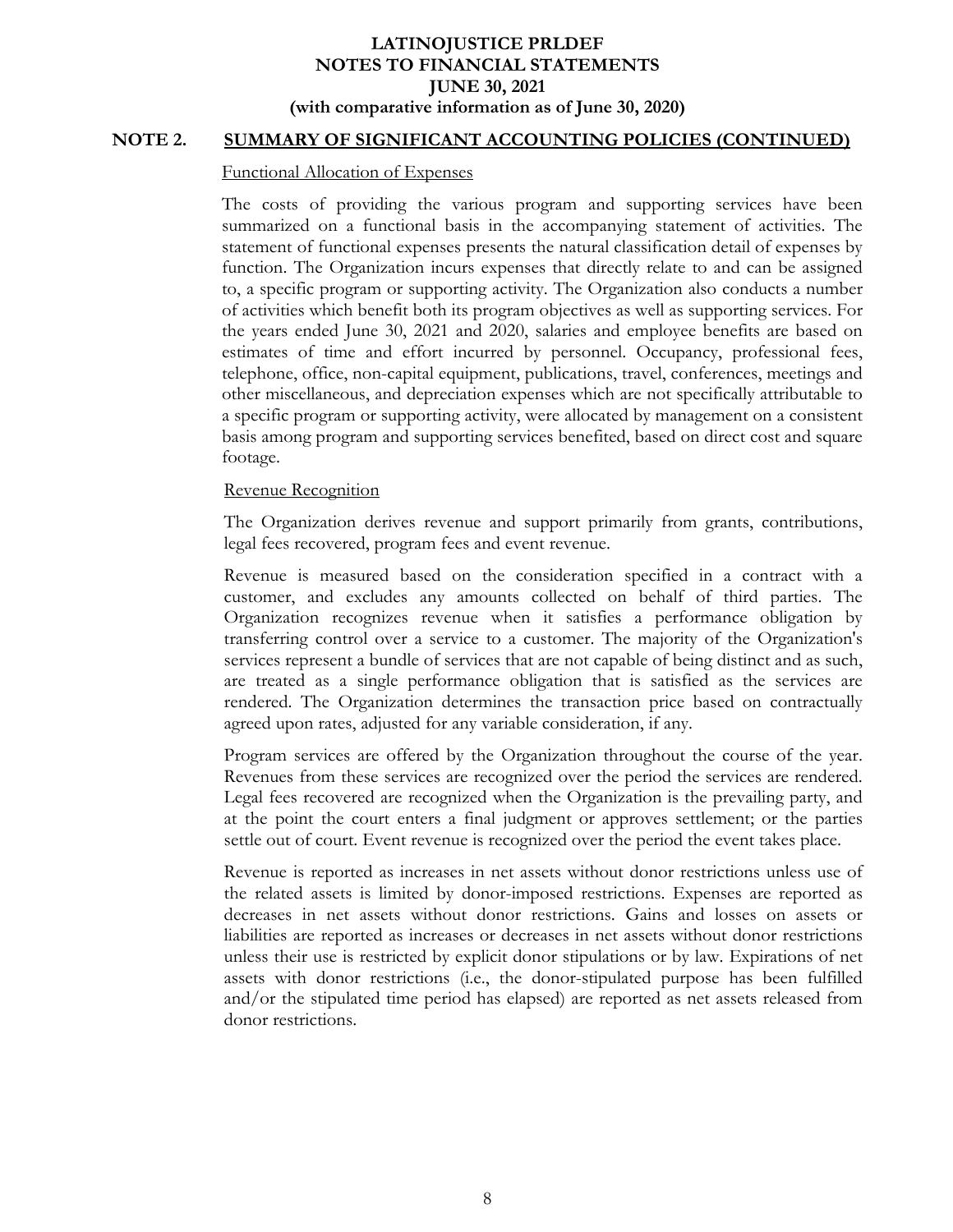### **NOTE 2. SUMMARY OF SIGNIFICANT ACCOUNTING POLICIES (CONTINUED)**

#### Functional Allocation of Expenses

The costs of providing the various program and supporting services have been summarized on a functional basis in the accompanying statement of activities. The statement of functional expenses presents the natural classification detail of expenses by function. The Organization incurs expenses that directly relate to and can be assigned to, a specific program or supporting activity. The Organization also conducts a number of activities which benefit both its program objectives as well as supporting services. For the years ended June 30, 2021 and 2020, salaries and employee benefits are based on estimates of time and effort incurred by personnel. Occupancy, professional fees, telephone, office, non-capital equipment, publications, travel, conferences, meetings and other miscellaneous, and depreciation expenses which are not specifically attributable to a specific program or supporting activity, were allocated by management on a consistent basis among program and supporting services benefited, based on direct cost and square footage.

#### Revenue Recognition

The Organization derives revenue and support primarily from grants, contributions, legal fees recovered, program fees and event revenue.

Revenue is measured based on the consideration specified in a contract with a customer, and excludes any amounts collected on behalf of third parties. The Organization recognizes revenue when it satisfies a performance obligation by transferring control over a service to a customer. The majority of the Organization's services represent a bundle of services that are not capable of being distinct and as such, are treated as a single performance obligation that is satisfied as the services are rendered. The Organization determines the transaction price based on contractually agreed upon rates, adjusted for any variable consideration, if any.

Program services are offered by the Organization throughout the course of the year. Revenues from these services are recognized over the period the services are rendered. Legal fees recovered are recognized when the Organization is the prevailing party, and at the point the court enters a final judgment or approves settlement; or the parties settle out of court. Event revenue is recognized over the period the event takes place.

Revenue is reported as increases in net assets without donor restrictions unless use of the related assets is limited by donor-imposed restrictions. Expenses are reported as decreases in net assets without donor restrictions. Gains and losses on assets or liabilities are reported as increases or decreases in net assets without donor restrictions unless their use is restricted by explicit donor stipulations or by law. Expirations of net assets with donor restrictions (i.e., the donor-stipulated purpose has been fulfilled and/or the stipulated time period has elapsed) are reported as net assets released from donor restrictions.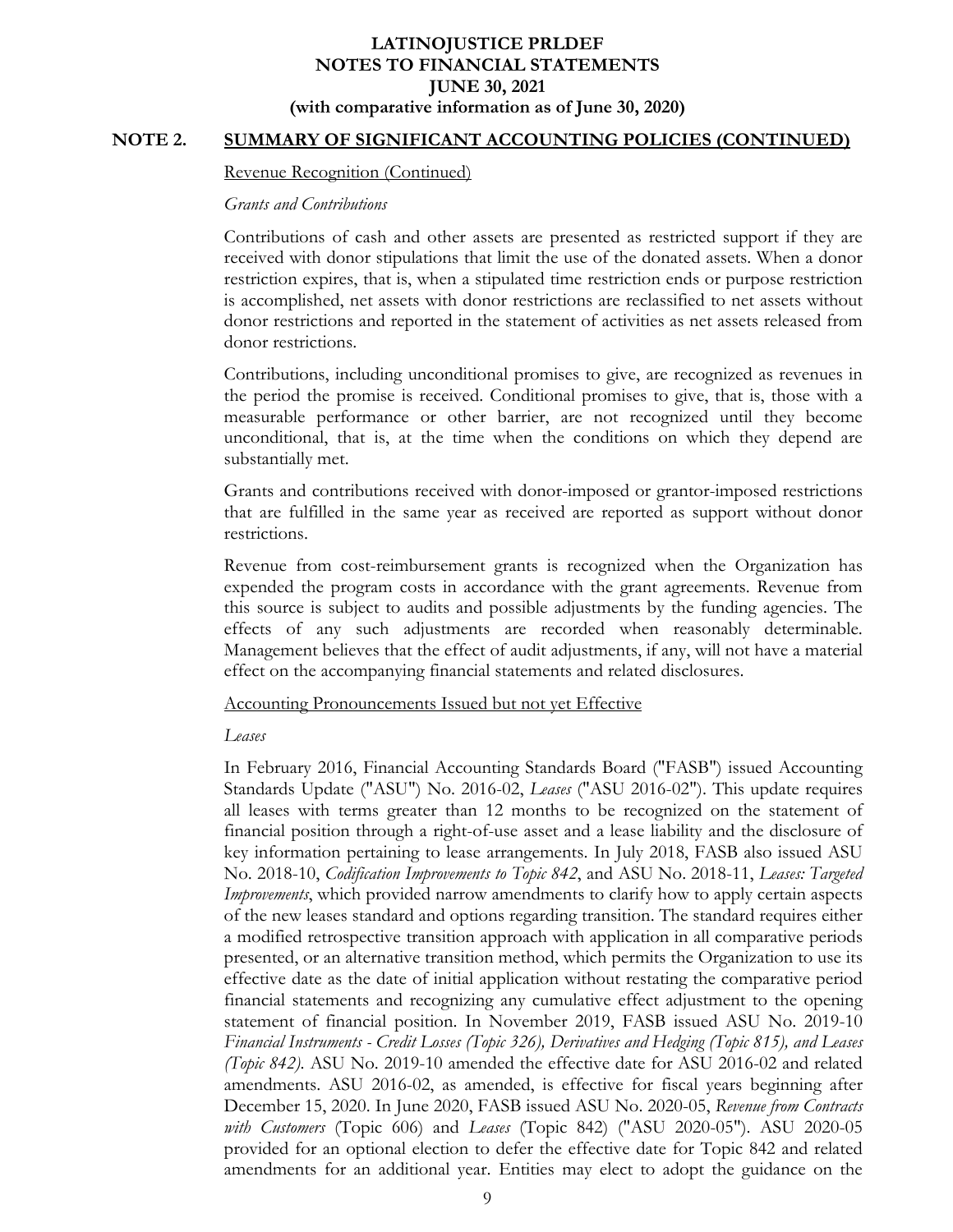### **NOTE 2. SUMMARY OF SIGNIFICANT ACCOUNTING POLICIES (CONTINUED)**

#### Revenue Recognition (Continued)

#### *Grants and Contributions*

Contributions of cash and other assets are presented as restricted support if they are received with donor stipulations that limit the use of the donated assets. When a donor restriction expires, that is, when a stipulated time restriction ends or purpose restriction is accomplished, net assets with donor restrictions are reclassified to net assets without donor restrictions and reported in the statement of activities as net assets released from donor restrictions.

Contributions, including unconditional promises to give, are recognized as revenues in the period the promise is received. Conditional promises to give, that is, those with a measurable performance or other barrier, are not recognized until they become unconditional, that is, at the time when the conditions on which they depend are substantially met.

Grants and contributions received with donor-imposed or grantor-imposed restrictions that are fulfilled in the same year as received are reported as support without donor restrictions.

Revenue from cost-reimbursement grants is recognized when the Organization has expended the program costs in accordance with the grant agreements. Revenue from this source is subject to audits and possible adjustments by the funding agencies. The effects of any such adjustments are recorded when reasonably determinable. Management believes that the effect of audit adjustments, if any, will not have a material effect on the accompanying financial statements and related disclosures.

#### Accounting Pronouncements Issued but not yet Effective

#### *Leases*

In February 2016, Financial Accounting Standards Board ("FASB") issued Accounting Standards Update ("ASU") No. 2016-02, *Leases* ("ASU 2016-02"). This update requires all leases with terms greater than 12 months to be recognized on the statement of financial position through a right-of-use asset and a lease liability and the disclosure of key information pertaining to lease arrangements. In July 2018, FASB also issued ASU No. 2018-10, *Codification Improvements to Topic 842*, and ASU No. 2018-11, *Leases: Targeted Improvements*, which provided narrow amendments to clarify how to apply certain aspects of the new leases standard and options regarding transition. The standard requires either a modified retrospective transition approach with application in all comparative periods presented, or an alternative transition method, which permits the Organization to use its effective date as the date of initial application without restating the comparative period financial statements and recognizing any cumulative effect adjustment to the opening statement of financial position. In November 2019, FASB issued ASU No. 2019-10 *Financial Instruments - Credit Losses (Topic 326), Derivatives and Hedging (Topic 815), and Leases (Topic 842)*. ASU No. 2019-10 amended the effective date for ASU 2016-02 and related amendments. ASU 2016-02, as amended, is effective for fiscal years beginning after December 15, 2020. In June 2020, FASB issued ASU No. 2020-05, *Revenue from Contracts with Customers* (Topic 606) and *Leases* (Topic 842) ("ASU 2020-05"). ASU 2020-05 provided for an optional election to defer the effective date for Topic 842 and related amendments for an additional year. Entities may elect to adopt the guidance on the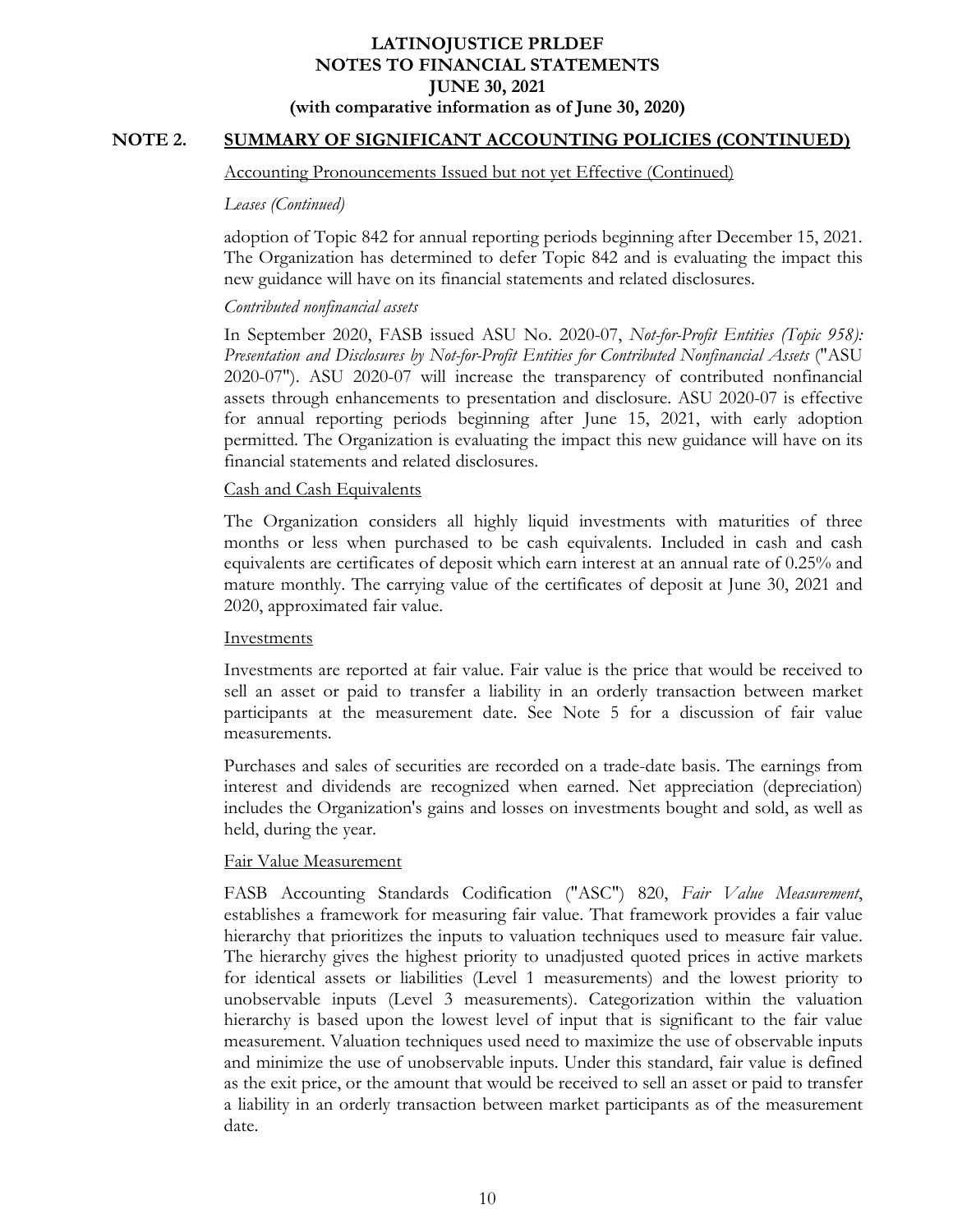# **NOTE 2. SUMMARY OF SIGNIFICANT ACCOUNTING POLICIES (CONTINUED)**

#### Accounting Pronouncements Issued but not yet Effective (Continued)

#### *Leases (Continued)*

adoption of Topic 842 for annual reporting periods beginning after December 15, 2021. The Organization has determined to defer Topic 842 and is evaluating the impact this new guidance will have on its financial statements and related disclosures.

### *Contributed nonfinancial assets*

In September 2020, FASB issued ASU No. 2020-07, *Not-for-Profit Entities (Topic 958): Presentation and Disclosures by Not-for-Profit Entities for Contributed Nonfinancial Assets* ("ASU 2020-07"). ASU 2020-07 will increase the transparency of contributed nonfinancial assets through enhancements to presentation and disclosure. ASU 2020-07 is effective for annual reporting periods beginning after June 15, 2021, with early adoption permitted. The Organization is evaluating the impact this new guidance will have on its financial statements and related disclosures.

### Cash and Cash Equivalents

The Organization considers all highly liquid investments with maturities of three months or less when purchased to be cash equivalents. Included in cash and cash equivalents are certificates of deposit which earn interest at an annual rate of 0.25% and mature monthly. The carrying value of the certificates of deposit at June 30, 2021 and 2020, approximated fair value.

### **Investments**

Investments are reported at fair value. Fair value is the price that would be received to sell an asset or paid to transfer a liability in an orderly transaction between market participants at the measurement date. See Note 5 for a discussion of fair value measurements.

Purchases and sales of securities are recorded on a trade-date basis. The earnings from interest and dividends are recognized when earned. Net appreciation (depreciation) includes the Organization's gains and losses on investments bought and sold, as well as held, during the year.

### Fair Value Measurement

FASB Accounting Standards Codification ("ASC") 820, *Fair Value Measurement*, establishes a framework for measuring fair value. That framework provides a fair value hierarchy that prioritizes the inputs to valuation techniques used to measure fair value. The hierarchy gives the highest priority to unadjusted quoted prices in active markets for identical assets or liabilities (Level 1 measurements) and the lowest priority to unobservable inputs (Level 3 measurements). Categorization within the valuation hierarchy is based upon the lowest level of input that is significant to the fair value measurement. Valuation techniques used need to maximize the use of observable inputs and minimize the use of unobservable inputs. Under this standard, fair value is defined as the exit price, or the amount that would be received to sell an asset or paid to transfer a liability in an orderly transaction between market participants as of the measurement date.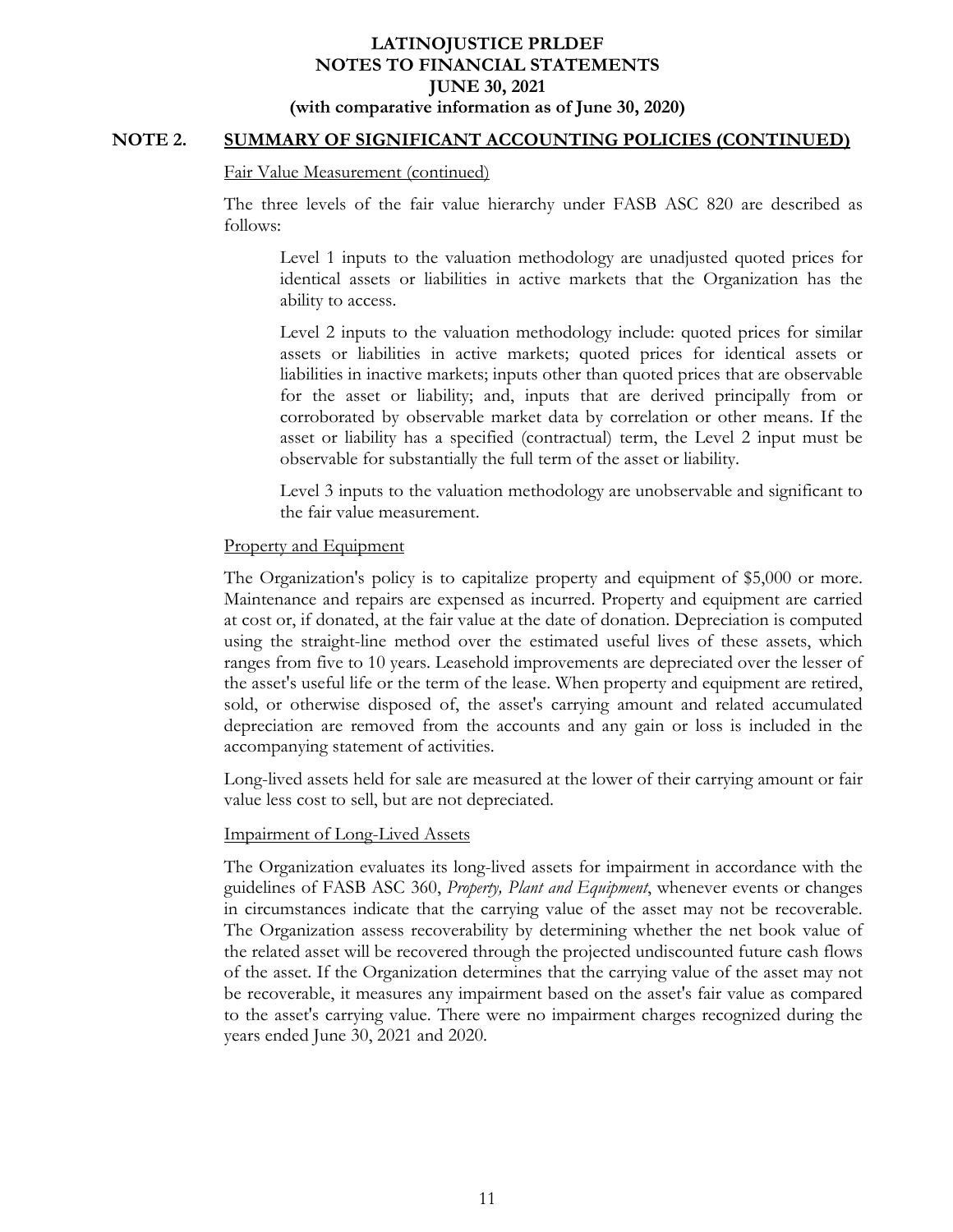### **NOTE 2. SUMMARY OF SIGNIFICANT ACCOUNTING POLICIES (CONTINUED)**

#### Fair Value Measurement (continued)

The three levels of the fair value hierarchy under FASB ASC 820 are described as follows:

Level 1 inputs to the valuation methodology are unadjusted quoted prices for identical assets or liabilities in active markets that the Organization has the ability to access.

Level 2 inputs to the valuation methodology include: quoted prices for similar assets or liabilities in active markets; quoted prices for identical assets or liabilities in inactive markets; inputs other than quoted prices that are observable for the asset or liability; and, inputs that are derived principally from or corroborated by observable market data by correlation or other means. If the asset or liability has a specified (contractual) term, the Level 2 input must be observable for substantially the full term of the asset or liability.

Level 3 inputs to the valuation methodology are unobservable and significant to the fair value measurement.

#### Property and Equipment

The Organization's policy is to capitalize property and equipment of \$5,000 or more. Maintenance and repairs are expensed as incurred. Property and equipment are carried at cost or, if donated, at the fair value at the date of donation. Depreciation is computed using the straight-line method over the estimated useful lives of these assets, which ranges from five to 10 years. Leasehold improvements are depreciated over the lesser of the asset's useful life or the term of the lease. When property and equipment are retired, sold, or otherwise disposed of, the asset's carrying amount and related accumulated depreciation are removed from the accounts and any gain or loss is included in the accompanying statement of activities.

Long-lived assets held for sale are measured at the lower of their carrying amount or fair value less cost to sell, but are not depreciated.

#### Impairment of Long-Lived Assets

The Organization evaluates its long-lived assets for impairment in accordance with the guidelines of FASB ASC 360, *Property, Plant and Equipment*, whenever events or changes in circumstances indicate that the carrying value of the asset may not be recoverable. The Organization assess recoverability by determining whether the net book value of the related asset will be recovered through the projected undiscounted future cash flows of the asset. If the Organization determines that the carrying value of the asset may not be recoverable, it measures any impairment based on the asset's fair value as compared to the asset's carrying value. There were no impairment charges recognized during the years ended June 30, 2021 and 2020.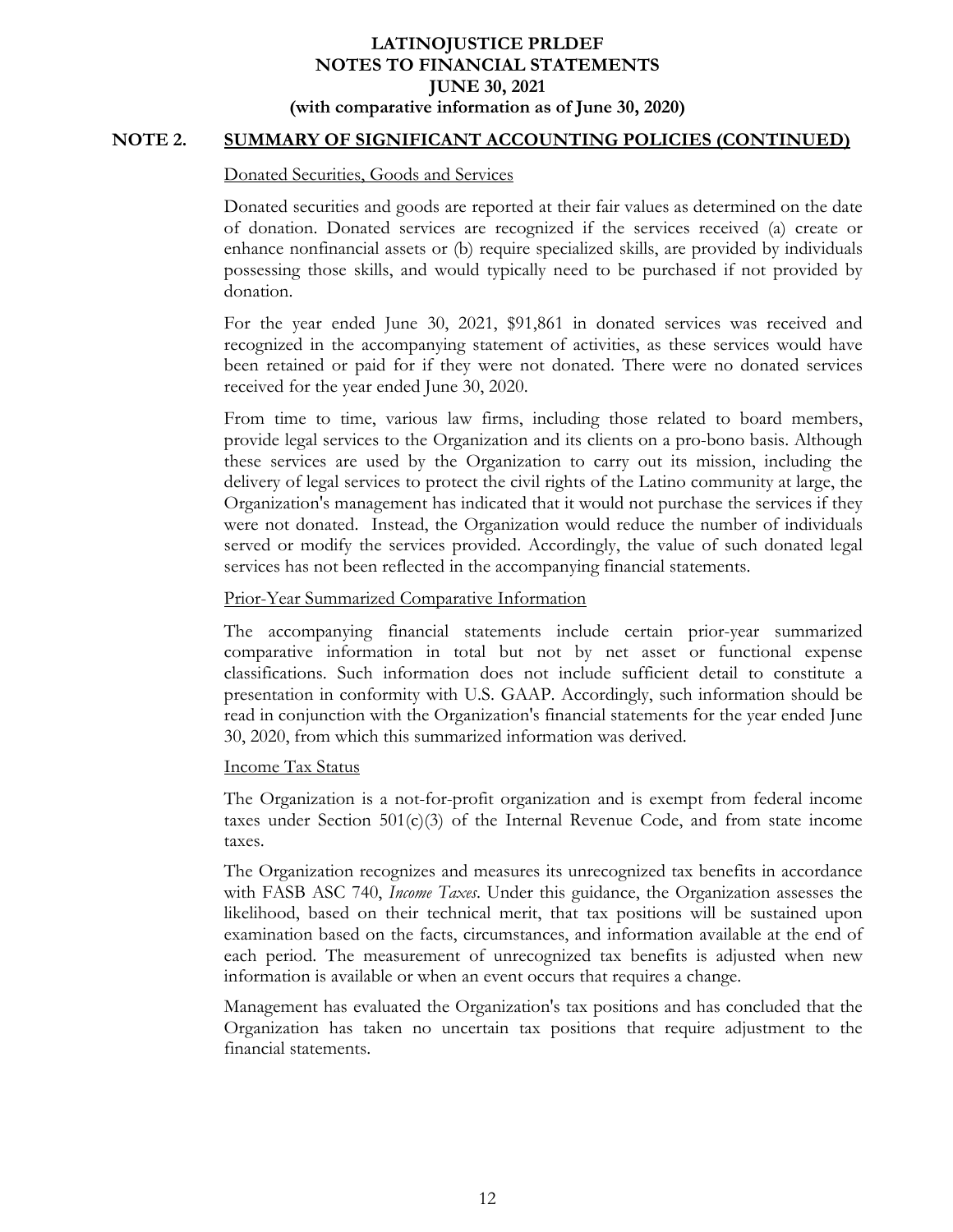## **NOTE 2. SUMMARY OF SIGNIFICANT ACCOUNTING POLICIES (CONTINUED)**

### Donated Securities, Goods and Services

Donated securities and goods are reported at their fair values as determined on the date of donation. Donated services are recognized if the services received (a) create or enhance nonfinancial assets or (b) require specialized skills, are provided by individuals possessing those skills, and would typically need to be purchased if not provided by donation.

For the year ended June 30, 2021, \$91,861 in donated services was received and recognized in the accompanying statement of activities, as these services would have been retained or paid for if they were not donated. There were no donated services received for the year ended June 30, 2020.

From time to time, various law firms, including those related to board members, provide legal services to the Organization and its clients on a pro-bono basis. Although these services are used by the Organization to carry out its mission, including the delivery of legal services to protect the civil rights of the Latino community at large, the Organization's management has indicated that it would not purchase the services if they were not donated. Instead, the Organization would reduce the number of individuals served or modify the services provided. Accordingly, the value of such donated legal services has not been reflected in the accompanying financial statements.

### Prior-Year Summarized Comparative Information

The accompanying financial statements include certain prior-year summarized comparative information in total but not by net asset or functional expense classifications. Such information does not include sufficient detail to constitute a presentation in conformity with U.S. GAAP. Accordingly, such information should be read in conjunction with the Organization's financial statements for the year ended June 30, 2020, from which this summarized information was derived.

### Income Tax Status

The Organization is a not-for-profit organization and is exempt from federal income taxes under Section  $501(c)(3)$  of the Internal Revenue Code, and from state income taxes.

The Organization recognizes and measures its unrecognized tax benefits in accordance with FASB ASC 740, *Income Taxes*. Under this guidance, the Organization assesses the likelihood, based on their technical merit, that tax positions will be sustained upon examination based on the facts, circumstances, and information available at the end of each period. The measurement of unrecognized tax benefits is adjusted when new information is available or when an event occurs that requires a change.

Management has evaluated the Organization's tax positions and has concluded that the Organization has taken no uncertain tax positions that require adjustment to the financial statements.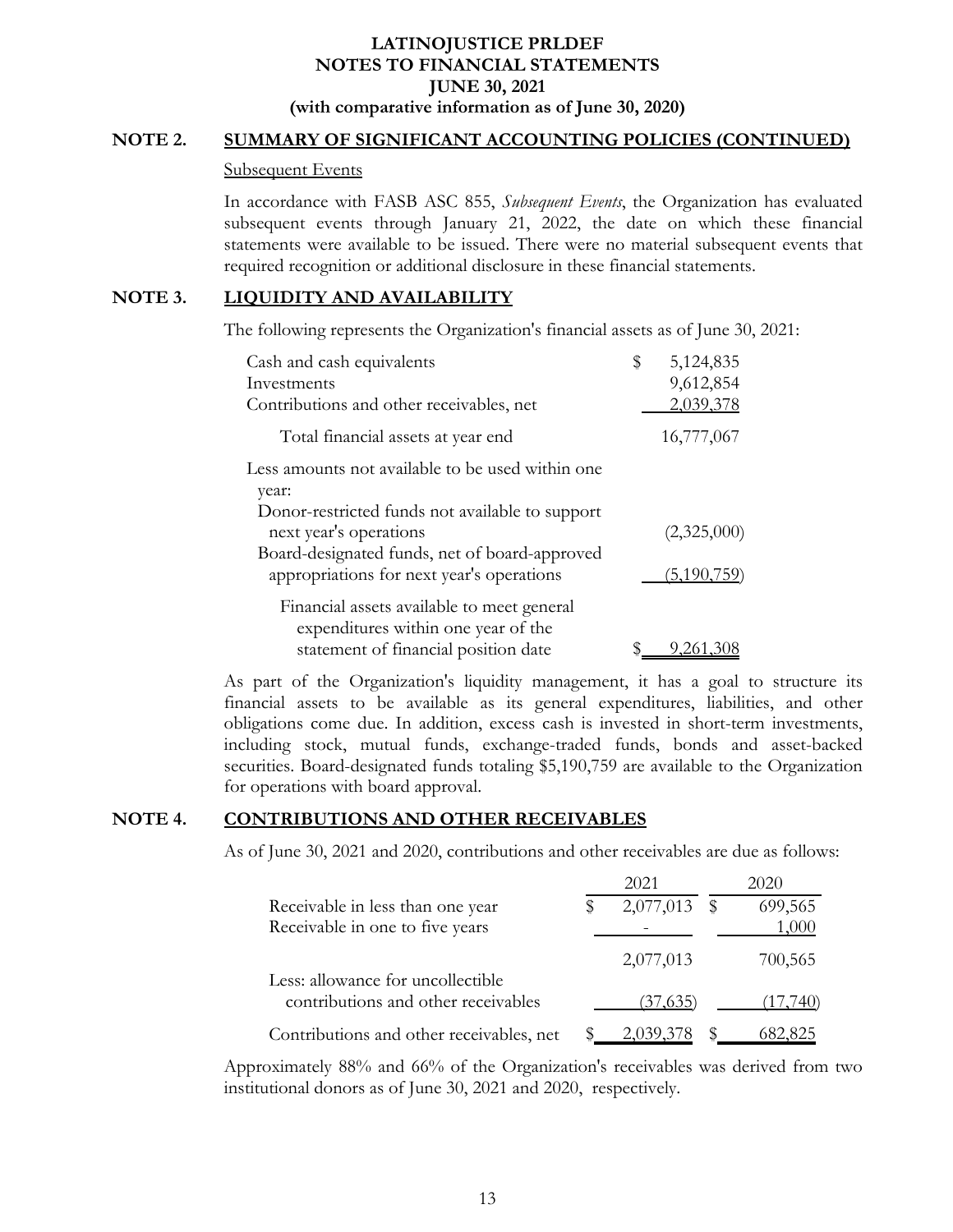### **NOTE 2. SUMMARY OF SIGNIFICANT ACCOUNTING POLICIES (CONTINUED)**

#### Subsequent Events

In accordance with FASB ASC 855, *Subsequent Events*, the Organization has evaluated subsequent events through January 21, 2022, the date on which these financial statements were available to be issued. There were no material subsequent events that required recognition or additional disclosure in these financial statements.

### **NOTE 3. LIQUIDITY AND AVAILABILITY**

The following represents the Organization's financial assets as of June 30, 2021:

| Cash and cash equivalents                        | \$ | 5,124,835   |
|--------------------------------------------------|----|-------------|
| Investments                                      |    | 9,612,854   |
| Contributions and other receivables, net         |    | 2,039,378   |
| Total financial assets at year end               |    | 16,777,067  |
| Less amounts not available to be used within one |    |             |
| year:                                            |    |             |
| Donor-restricted funds not available to support  |    |             |
| next year's operations                           |    | (2,325,000) |
| Board-designated funds, net of board-approved    |    |             |
| appropriations for next year's operations        |    | (5,190,759) |
| Financial assets available to meet general       |    |             |
| expenditures within one year of the              |    |             |
| statement of financial position date             | S  | 9,261,308   |

As part of the Organization's liquidity management, it has a goal to structure its financial assets to be available as its general expenditures, liabilities, and other obligations come due. In addition, excess cash is invested in short-term investments, including stock, mutual funds, exchange-traded funds, bonds and asset-backed securities. Board-designated funds totaling \$5,190,759 are available to the Organization for operations with board approval.

### **NOTE 4. CONTRIBUTIONS AND OTHER RECEIVABLES**

As of June 30, 2021 and 2020, contributions and other receivables are due as follows:

|                                          | 2021      | 2020          |
|------------------------------------------|-----------|---------------|
| Receivable in less than one year         | 2,077,013 | \$<br>699,565 |
| Receivable in one to five years          |           | 1,000         |
|                                          | 2,077,013 | 700,565       |
| Less: allowance for uncollectible        |           |               |
| contributions and other receivables      | (37, 635) | (17,740)      |
| Contributions and other receivables, net | 2,039,378 | 682,825       |

Approximately 88% and 66% of the Organization's receivables was derived from two institutional donors as of June 30, 2021 and 2020, respectively.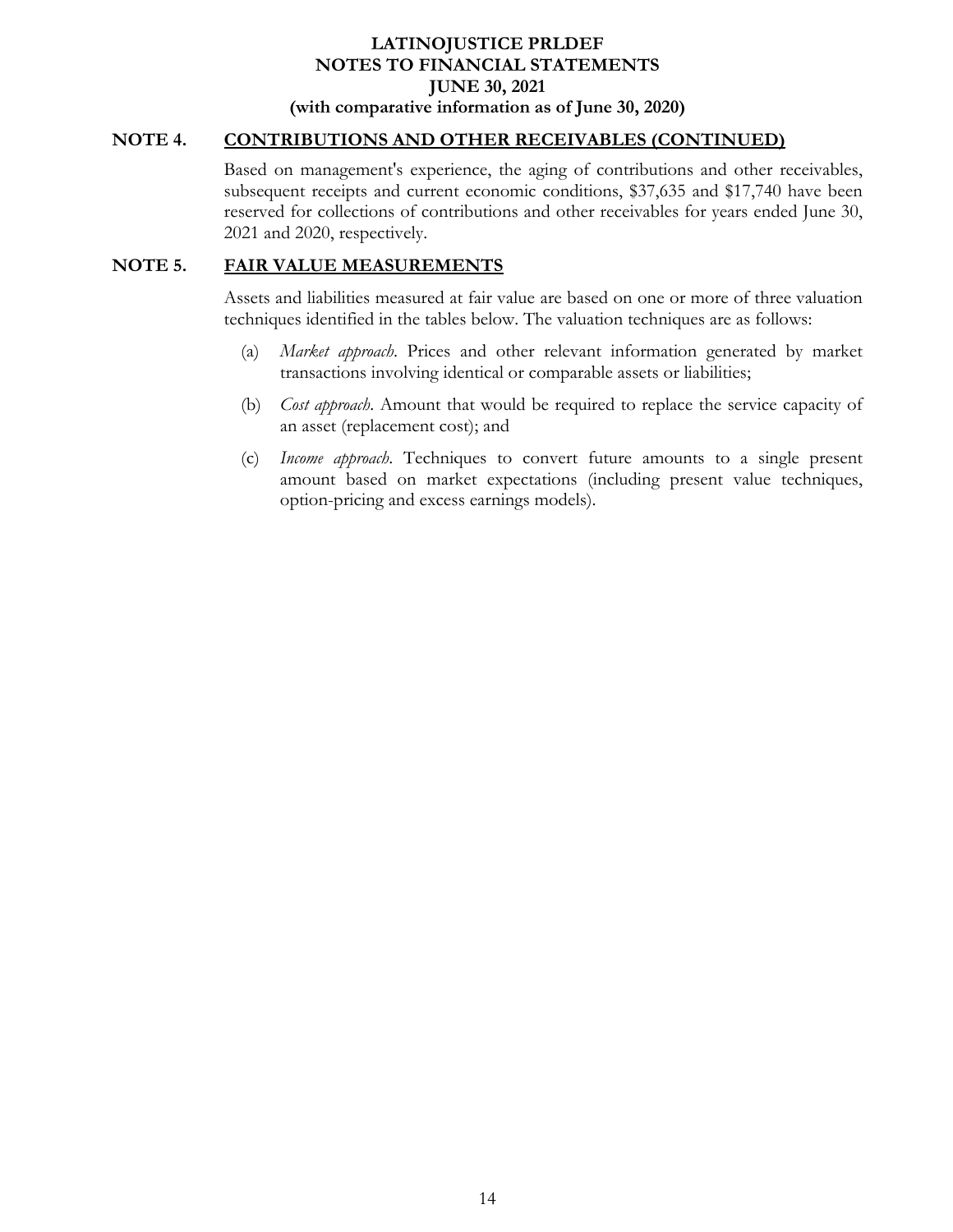### **NOTE 4. CONTRIBUTIONS AND OTHER RECEIVABLES (CONTINUED)**

Based on management's experience, the aging of contributions and other receivables, subsequent receipts and current economic conditions, \$37,635 and \$17,740 have been reserved for collections of contributions and other receivables for years ended June 30, 2021 and 2020, respectively.

### **NOTE 5. FAIR VALUE MEASUREMENTS**

Assets and liabilities measured at fair value are based on one or more of three valuation techniques identified in the tables below. The valuation techniques are as follows:

- (a) *Market approach*. Prices and other relevant information generated by market transactions involving identical or comparable assets or liabilities;
- (b) *Cost approach*. Amount that would be required to replace the service capacity of an asset (replacement cost); and
- (c) *Income approach*. Techniques to convert future amounts to a single present amount based on market expectations (including present value techniques, option-pricing and excess earnings models).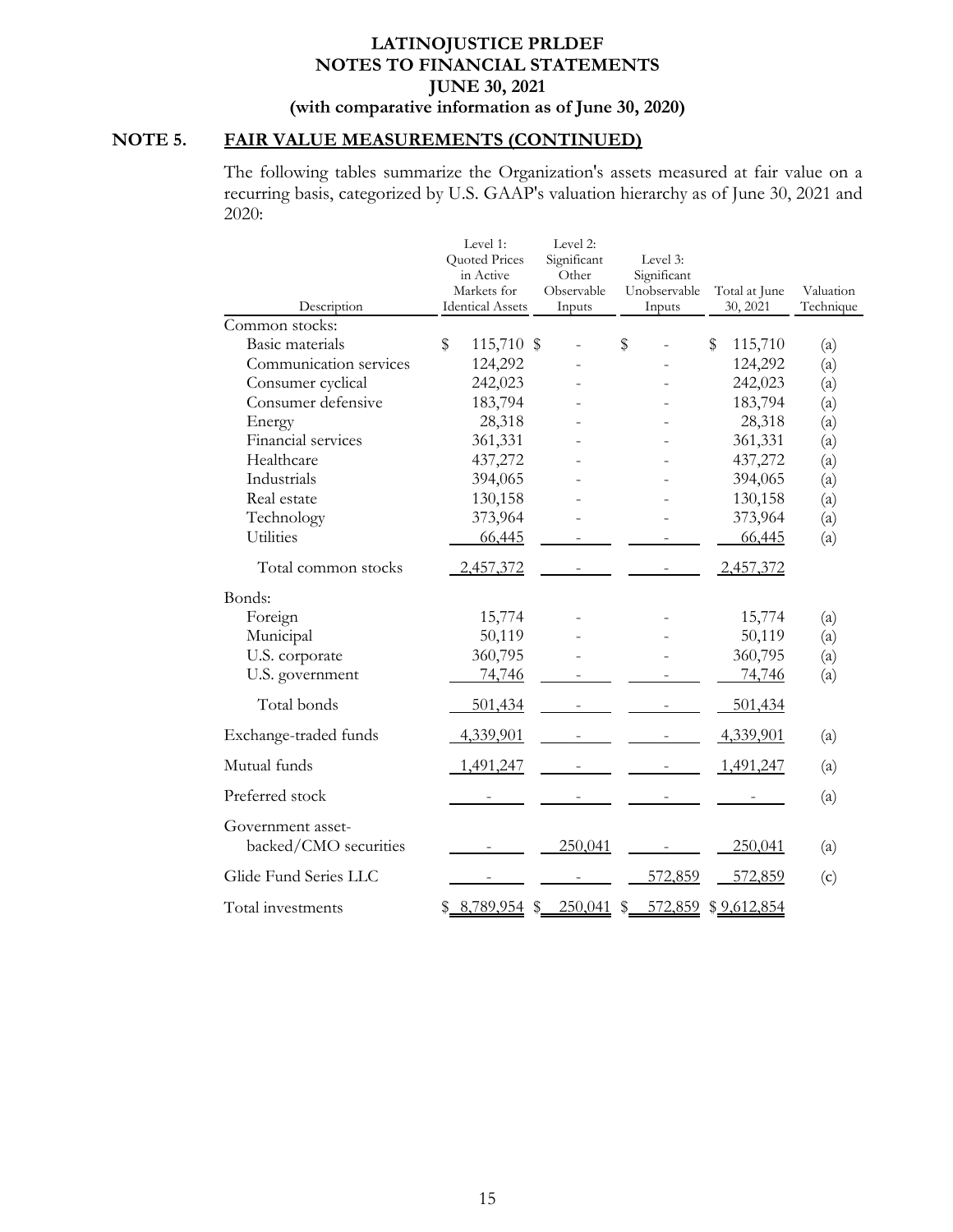# **NOTE 5. FAIR VALUE MEASUREMENTS (CONTINUED)**

The following tables summarize the Organization's assets measured at fair value on a recurring basis, categorized by U.S. GAAP's valuation hierarchy as of June 30, 2021 and 2020:

|                                            | Level 1:                | Level 2:      |               |               |           |
|--------------------------------------------|-------------------------|---------------|---------------|---------------|-----------|
|                                            | Quoted Prices           | Significant   | Level 3:      |               |           |
|                                            | in Active               | Other         | Significant   |               |           |
|                                            | Markets for             | Observable    | Unobservable  | Total at June | Valuation |
| Description                                | <b>Identical Assets</b> | Inputs        | Inputs        | 30, 2021      | Technique |
| Common stocks:                             |                         |               |               |               |           |
| <b>Basic materials</b>                     | \$<br>115,710 \$        |               | \$            | \$<br>115,710 | (a)       |
| Communication services                     | 124,292                 |               |               | 124,292       | (a)       |
| Consumer cyclical                          | 242,023                 |               |               | 242,023       | (a)       |
| Consumer defensive                         | 183,794                 |               |               | 183,794       | (a)       |
| Energy                                     | 28,318                  |               |               | 28,318        | (a)       |
| Financial services                         | 361,331                 |               |               | 361,331       | (a)       |
| Healthcare                                 | 437,272                 |               |               | 437,272       | (a)       |
| Industrials                                | 394,065                 |               |               | 394,065       | (a)       |
| Real estate                                | 130,158                 |               |               | 130,158       | (a)       |
| Technology                                 | 373,964                 |               |               | 373,964       | (a)       |
| <b>Utilities</b>                           | 66,445                  |               |               | 66,445        | (a)       |
| Total common stocks                        | 2,457,372               |               |               | 2,457,372     |           |
| Bonds:                                     |                         |               |               |               |           |
| Foreign                                    | 15,774                  |               |               | 15,774        | (a)       |
| Municipal                                  | 50,119                  |               |               | 50,119        | (a)       |
| U.S. corporate                             | 360,795                 |               |               | 360,795       | (a)       |
| U.S. government                            | 74,746                  |               |               | 74,746        | (a)       |
| Total bonds                                | 501,434                 |               |               | 501,434       |           |
| Exchange-traded funds                      | 4,339,901               |               |               | 4,339,901     | (a)       |
| Mutual funds                               | 1,491,247               |               |               | 1,491,247     | (a)       |
| Preferred stock                            |                         |               |               |               | (a)       |
| Government asset-<br>backed/CMO securities |                         | 250,041       |               | 250,041       | (a)       |
| Glide Fund Series LLC                      |                         |               | 572,859       | 572,859       | (c)       |
| Total investments                          | \$8,789,954             | 250,041<br>\$ | 572,859<br>\$ | \$9,612,854   |           |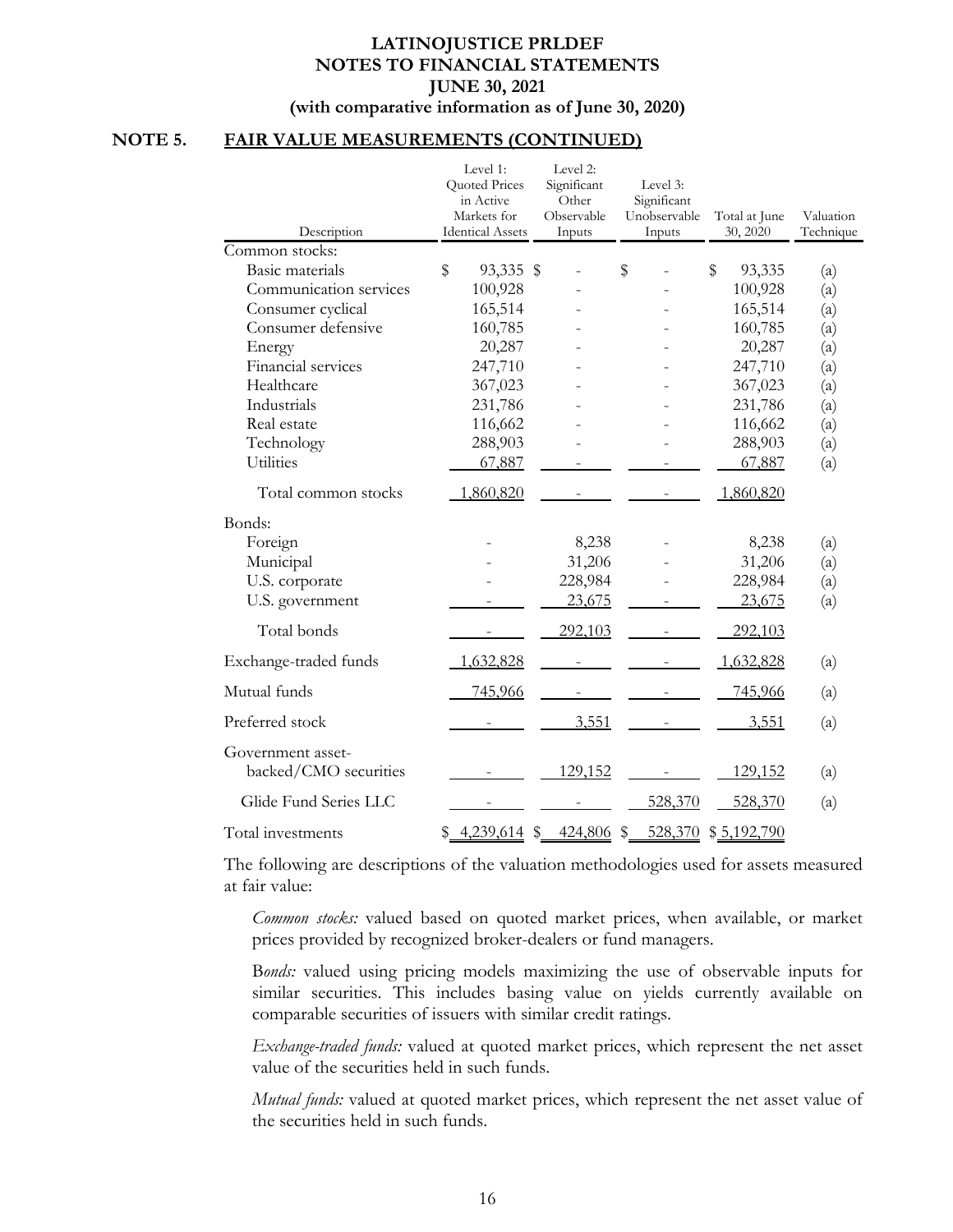# **NOTE 5. FAIR VALUE MEASUREMENTS (CONTINUED)**

| Description                                | Level 1:<br>Quoted Prices<br>in Active<br>Markets for<br><b>Identical Assets</b> | Level 2:<br>Significant<br>Other<br>Observable<br>Inputs | Level 3:<br>Significant<br>Unobservable<br>Inputs | Total at June<br>30, 2020 | Valuation<br>Technique   |
|--------------------------------------------|----------------------------------------------------------------------------------|----------------------------------------------------------|---------------------------------------------------|---------------------------|--------------------------|
| Common stocks:                             |                                                                                  |                                                          |                                                   |                           |                          |
| Basic materials                            | \$<br>93,335 \$                                                                  |                                                          | \$                                                | \$<br>93,335              | $\left( \text{a}\right)$ |
| Communication services                     | 100,928                                                                          |                                                          |                                                   | 100,928                   | (a)                      |
| Consumer cyclical                          | 165,514                                                                          |                                                          |                                                   | 165,514                   | (a)                      |
| Consumer defensive                         | 160,785                                                                          |                                                          |                                                   | 160,785                   | (a)                      |
| Energy                                     | 20,287                                                                           |                                                          |                                                   | 20,287                    | (a)                      |
| Financial services                         | 247,710                                                                          |                                                          |                                                   | 247,710                   | (a)                      |
| Healthcare                                 | 367,023                                                                          |                                                          |                                                   | 367,023                   | (a)                      |
| Industrials                                | 231,786                                                                          |                                                          |                                                   | 231,786                   | (a)                      |
| Real estate                                | 116,662                                                                          |                                                          |                                                   | 116,662                   | (a)                      |
| Technology                                 | 288,903                                                                          |                                                          |                                                   | 288,903                   | (a)                      |
| <b>Utilities</b>                           | 67,887                                                                           |                                                          |                                                   | 67,887                    | (a)                      |
| Total common stocks                        | 1,860,820                                                                        |                                                          |                                                   | 1,860,820                 |                          |
| Bonds:                                     |                                                                                  |                                                          |                                                   |                           |                          |
| Foreign                                    |                                                                                  | 8,238                                                    |                                                   | 8,238                     | (a)                      |
| Municipal                                  |                                                                                  | 31,206                                                   |                                                   | 31,206                    | (a)                      |
| U.S. corporate                             |                                                                                  | 228,984                                                  |                                                   | 228,984                   | (a)                      |
| U.S. government                            |                                                                                  | 23,675                                                   |                                                   | 23,675                    | (a)                      |
| Total bonds                                |                                                                                  | 292,103                                                  |                                                   | 292,103                   |                          |
| Exchange-traded funds                      | 1,632,828                                                                        |                                                          |                                                   | 1,632,828                 | (a)                      |
| Mutual funds                               | 745,966                                                                          |                                                          |                                                   | 745,966                   | (a)                      |
| Preferred stock                            |                                                                                  | 3,551                                                    |                                                   | 3,551                     | (a)                      |
| Government asset-<br>backed/CMO securities |                                                                                  | 129,152                                                  |                                                   | 129,152                   | $\left( \alpha \right)$  |
| Glide Fund Series LLC                      |                                                                                  |                                                          | 528,370                                           | 528,370                   | (a)                      |
| Total investments                          | \$<br>4,239,614                                                                  | \$<br>424,806                                            | \$<br>528,370                                     | \$5,192,790               |                          |

The following are descriptions of the valuation methodologies used for assets measured at fair value:

*Common stocks:* valued based on quoted market prices, when available, or market prices provided by recognized broker-dealers or fund managers.

B*onds:* valued using pricing models maximizing the use of observable inputs for similar securities. This includes basing value on yields currently available on comparable securities of issuers with similar credit ratings.

*Exchange-traded funds:* valued at quoted market prices, which represent the net asset value of the securities held in such funds.

*Mutual funds:* valued at quoted market prices, which represent the net asset value of the securities held in such funds.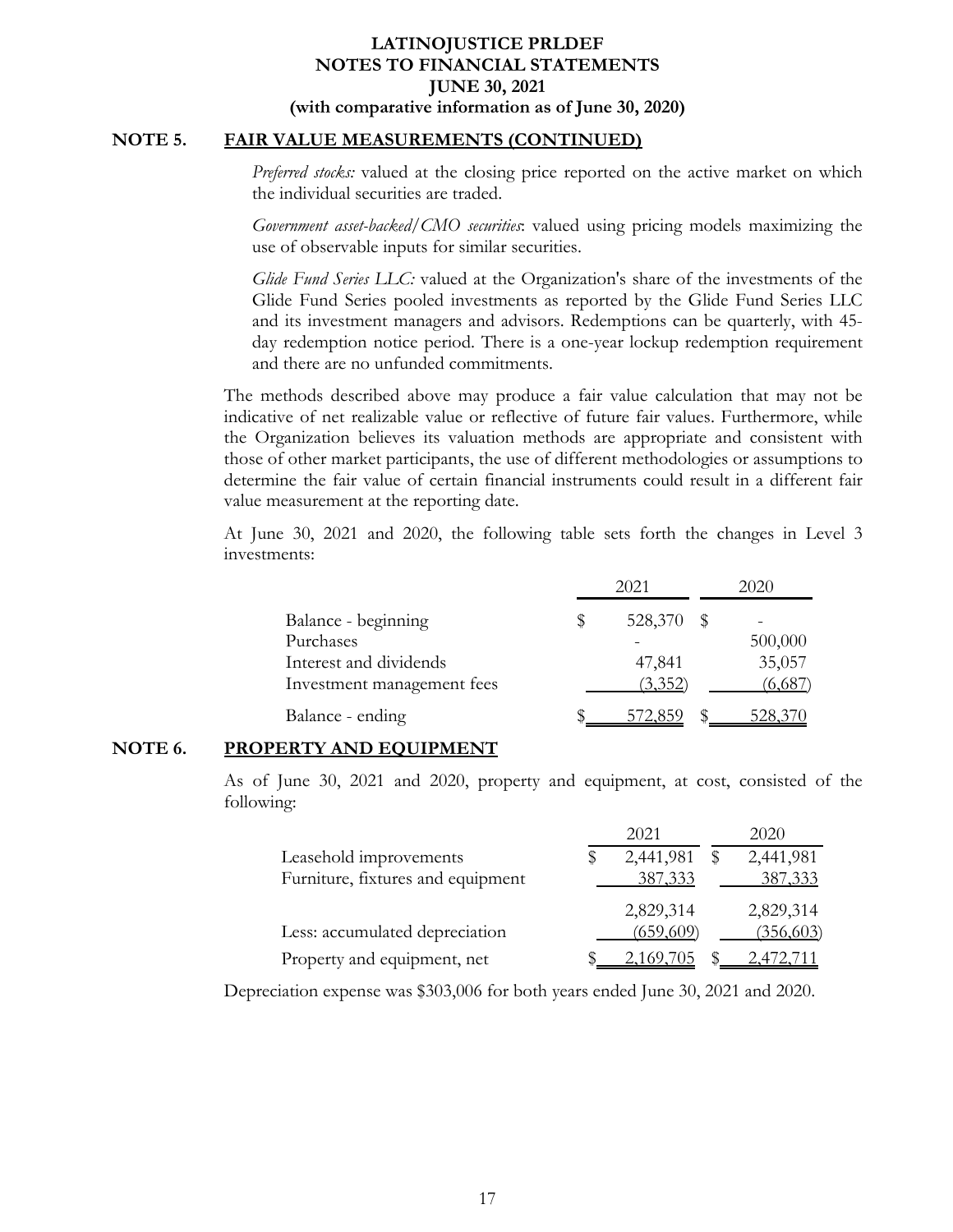### **NOTE 5. FAIR VALUE MEASUREMENTS (CONTINUED)**

*Preferred stocks:* valued at the closing price reported on the active market on which the individual securities are traded.

*Government asset-backed/CMO securities*: valued using pricing models maximizing the use of observable inputs for similar securities.

*Glide Fund Series LLC:* valued at the Organization's share of the investments of the Glide Fund Series pooled investments as reported by the Glide Fund Series LLC and its investment managers and advisors. Redemptions can be quarterly, with 45 day redemption notice period. There is a one-year lockup redemption requirement and there are no unfunded commitments.

The methods described above may produce a fair value calculation that may not be indicative of net realizable value or reflective of future fair values. Furthermore, while the Organization believes its valuation methods are appropriate and consistent with those of other market participants, the use of different methodologies or assumptions to determine the fair value of certain financial instruments could result in a different fair value measurement at the reporting date.

At June 30, 2021 and 2020, the following table sets forth the changes in Level 3 investments:

|                            |   | 2021    | 2020 |         |  |  |
|----------------------------|---|---------|------|---------|--|--|
| Balance - beginning        | S | 528,370 |      |         |  |  |
| Purchases                  |   |         |      | 500,000 |  |  |
| Interest and dividends     |   | 47,841  |      | 35,057  |  |  |
| Investment management fees |   | (3,352) |      | (6,687) |  |  |
| Balance - ending           |   | 572.859 |      | 528,370 |  |  |

# **NOTE 6. PROPERTY AND EQUIPMENT**

As of June 30, 2021 and 2020, property and equipment, at cost, consisted of the following:

|                                   | 2021      | 2020      |
|-----------------------------------|-----------|-----------|
| Leasehold improvements            | 2,441,981 | 2,441,981 |
| Furniture, fixtures and equipment | 387, 333  | 387,333   |
|                                   | 2,829,314 | 2,829,314 |
| Less: accumulated depreciation    | (659,609) | (356,603) |
| Property and equipment, net       | 2,169,705 | 2,472,711 |

Depreciation expense was \$303,006 for both years ended June 30, 2021 and 2020.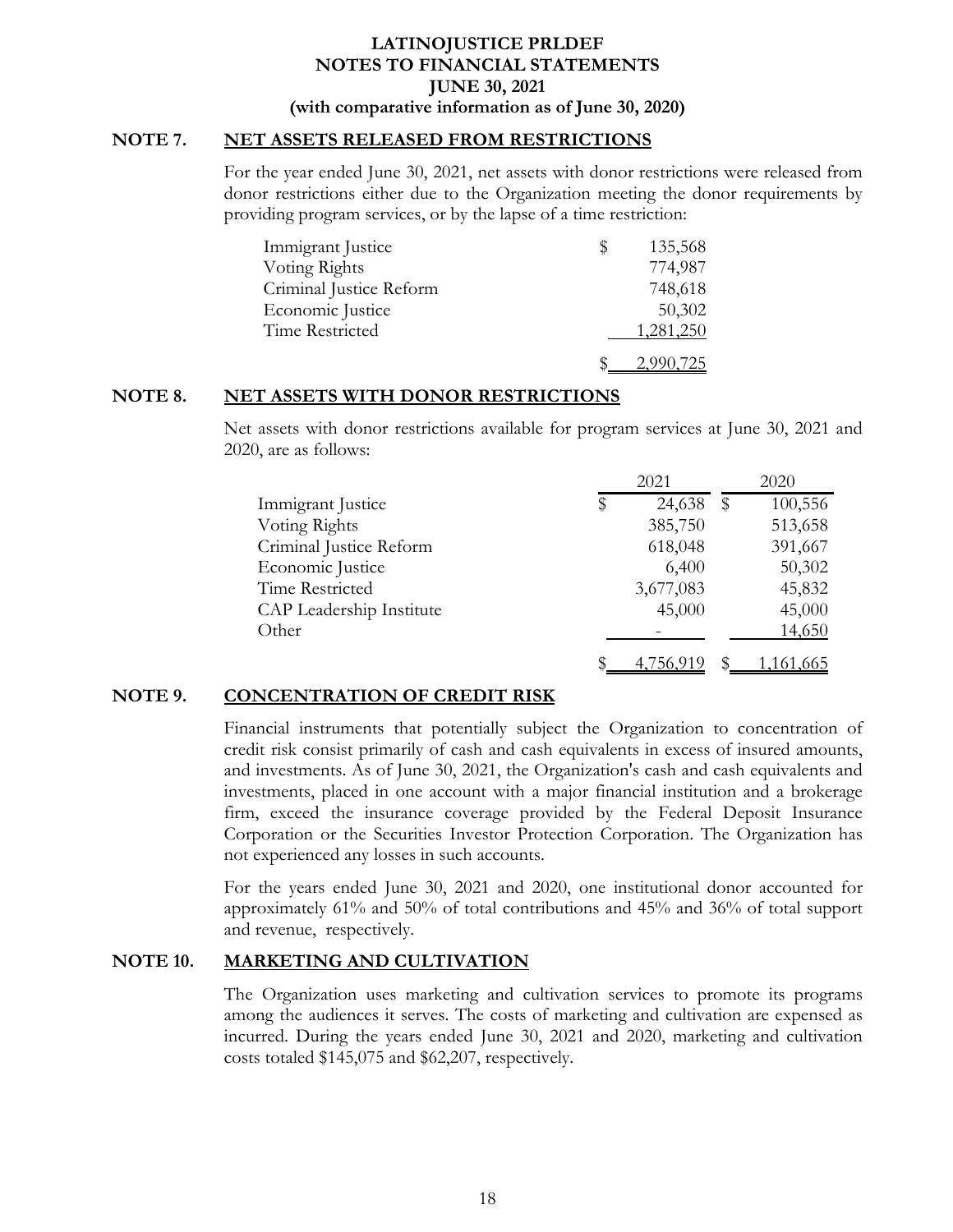### **NOTE 7. NET ASSETS RELEASED FROM RESTRICTIONS**

For the year ended June 30, 2021, net assets with donor restrictions were released from donor restrictions either due to the Organization meeting the donor requirements by providing program services, or by the lapse of a time restriction:

| Immigrant Justice       | Ъ | 135,568   |
|-------------------------|---|-----------|
| Voting Rights           |   | 774,987   |
| Criminal Justice Reform |   | 748,618   |
| Economic Justice        |   | 50,302    |
| Time Restricted         |   | 1,281,250 |
|                         |   | 2.990.725 |

### **NOTE 8. NET ASSETS WITH DONOR RESTRICTIONS**

Net assets with donor restrictions available for program services at June 30, 2021 and 2020, are as follows:

|                          | 2021         |   | 2020      |  |
|--------------------------|--------------|---|-----------|--|
| Immigrant Justice        | 24,638<br>\$ | S | 100,556   |  |
| Voting Rights            | 385,750      |   | 513,658   |  |
| Criminal Justice Reform  | 618,048      |   | 391,667   |  |
| Economic Justice         | 6,400        |   | 50,302    |  |
| Time Restricted          | 3,677,083    |   | 45,832    |  |
| CAP Leadership Institute | 45,000       |   | 45,000    |  |
| Other                    |              |   | 14,650    |  |
|                          | 4,756,919    |   | 1,161,665 |  |

### **NOTE 9. CONCENTRATION OF CREDIT RISK**

Financial instruments that potentially subject the Organization to concentration of credit risk consist primarily of cash and cash equivalents in excess of insured amounts, and investments. As of June 30, 2021, the Organization's cash and cash equivalents and investments, placed in one account with a major financial institution and a brokerage firm, exceed the insurance coverage provided by the Federal Deposit Insurance Corporation or the Securities Investor Protection Corporation. The Organization has not experienced any losses in such accounts.

For the years ended June 30, 2021 and 2020, one institutional donor accounted for approximately 61% and 50% of total contributions and 45% and 36% of total support and revenue, respectively.

### **NOTE 10. MARKETING AND CULTIVATION**

The Organization uses marketing and cultivation services to promote its programs among the audiences it serves. The costs of marketing and cultivation are expensed as incurred. During the years ended June 30, 2021 and 2020, marketing and cultivation costs totaled \$145,075 and \$62,207, respectively.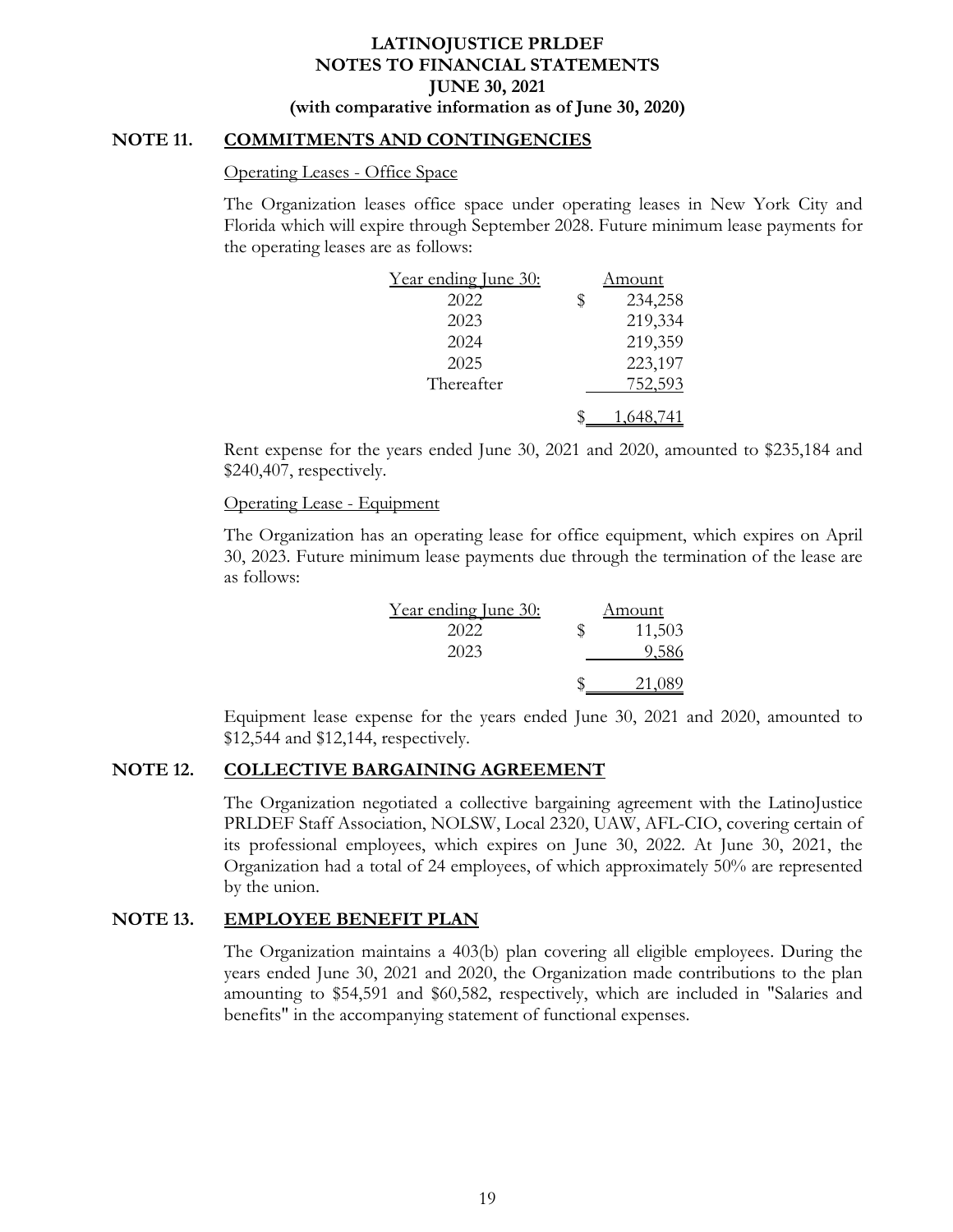### **NOTE 11. COMMITMENTS AND CONTINGENCIES**

#### Operating Leases - Office Space

The Organization leases office space under operating leases in New York City and Florida which will expire through September 2028. Future minimum lease payments for the operating leases are as follows:

| Year ending June 30: |   | Amount    |
|----------------------|---|-----------|
| 2022                 | S | 234,258   |
| 2023                 |   | 219,334   |
| 2024                 |   | 219,359   |
| 2025                 |   | 223,197   |
| Thereafter           |   | 752,593   |
|                      |   | 1,648,741 |

Rent expense for the years ended June 30, 2021 and 2020, amounted to \$235,184 and \$240,407, respectively.

### Operating Lease - Equipment

The Organization has an operating lease for office equipment, which expires on April 30, 2023. Future minimum lease payments due through the termination of the lease are as follows:

| <u>Year ending June 30:</u> |    | Amount |
|-----------------------------|----|--------|
| 2022                        | Ж, | 11,503 |
| 2023                        |    | 9,586  |
|                             |    | 21,089 |

Equipment lease expense for the years ended June 30, 2021 and 2020, amounted to \$12,544 and \$12,144, respectively.

## **NOTE 12. COLLECTIVE BARGAINING AGREEMENT**

The Organization negotiated a collective bargaining agreement with the LatinoJustice PRLDEF Staff Association, NOLSW, Local 2320, UAW, AFL-CIO, covering certain of its professional employees, which expires on June 30, 2022. At June 30, 2021, the Organization had a total of 24 employees, of which approximately 50% are represented by the union.

### **NOTE 13. EMPLOYEE BENEFIT PLAN**

The Organization maintains a 403(b) plan covering all eligible employees. During the years ended June 30, 2021 and 2020, the Organization made contributions to the plan amounting to \$54,591 and \$60,582, respectively, which are included in "Salaries and benefits" in the accompanying statement of functional expenses.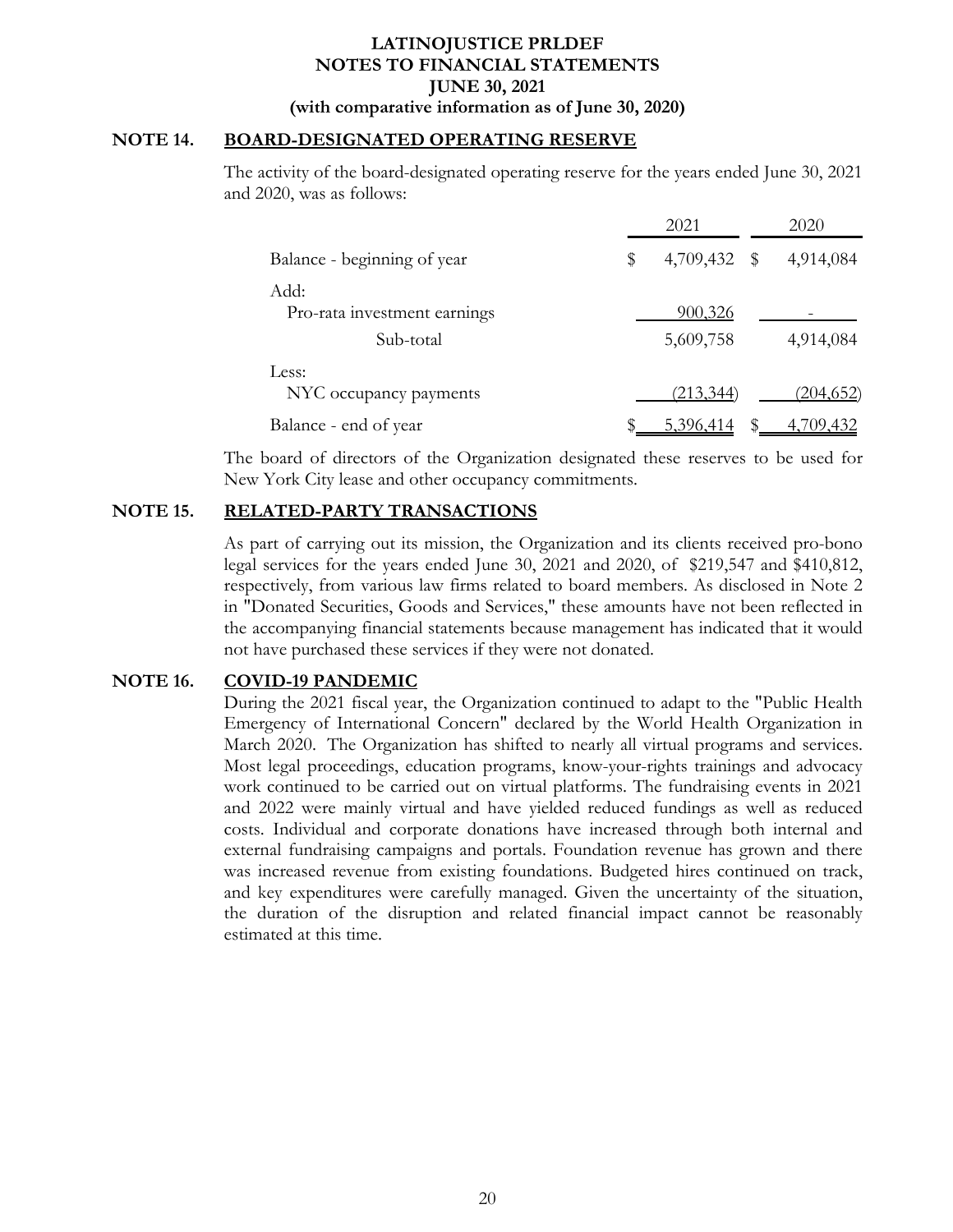### **NOTE 14. BOARD-DESIGNATED OPERATING RESERVE**

The activity of the board-designated operating reserve for the years ended June 30, 2021 and 2020, was as follows:

|                                                   | 2021                 | 2020             |
|---------------------------------------------------|----------------------|------------------|
| Balance - beginning of year                       | \$<br>4,709,432 \$   | 4,914,084        |
| Add:<br>Pro-rata investment earnings<br>Sub-total | 900,326<br>5,609,758 | 4,914,084        |
| Less:<br>NYC occupancy payments                   | <u>(213,344)</u>     | <u>(204,652)</u> |
| Balance - end of year                             | 5,396,414            | 4,709,432        |

The board of directors of the Organization designated these reserves to be used for New York City lease and other occupancy commitments.

### **NOTE 15. RELATED-PARTY TRANSACTIONS**

As part of carrying out its mission, the Organization and its clients received pro-bono legal services for the years ended June 30, 2021 and 2020, of \$219,547 and \$410,812, respectively, from various law firms related to board members. As disclosed in Note 2 in "Donated Securities, Goods and Services," these amounts have not been reflected in the accompanying financial statements because management has indicated that it would not have purchased these services if they were not donated.

### **NOTE 16. COVID-19 PANDEMIC**

During the 2021 fiscal year, the Organization continued to adapt to the "Public Health Emergency of International Concern" declared by the World Health Organization in March 2020. The Organization has shifted to nearly all virtual programs and services. Most legal proceedings, education programs, know-your-rights trainings and advocacy work continued to be carried out on virtual platforms. The fundraising events in 2021 and 2022 were mainly virtual and have yielded reduced fundings as well as reduced costs. Individual and corporate donations have increased through both internal and external fundraising campaigns and portals. Foundation revenue has grown and there was increased revenue from existing foundations. Budgeted hires continued on track, and key expenditures were carefully managed. Given the uncertainty of the situation, the duration of the disruption and related financial impact cannot be reasonably estimated at this time.